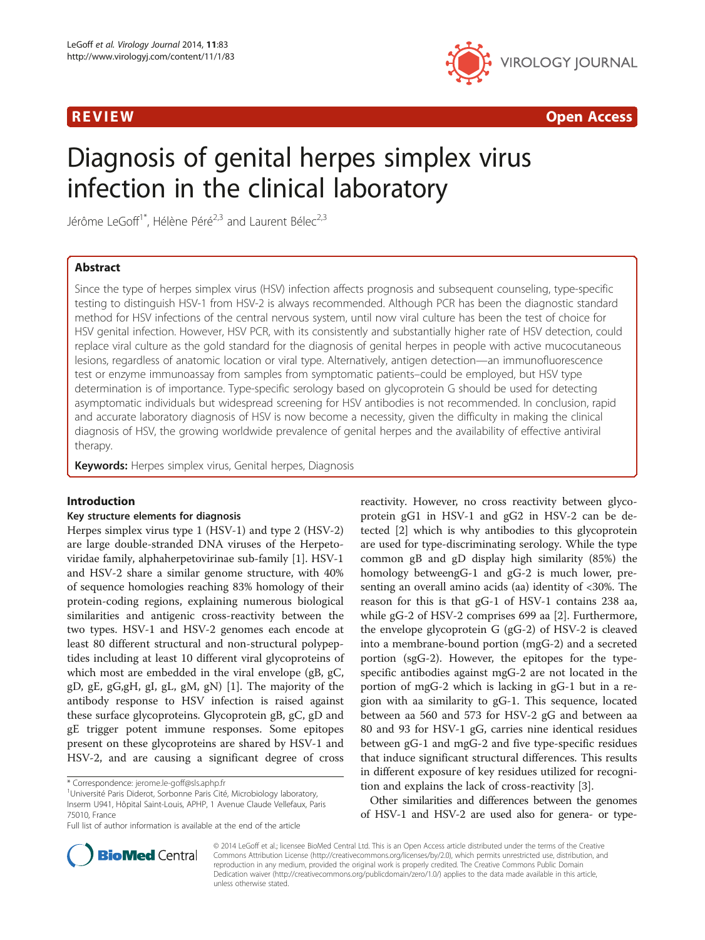

R EVI EW Open Access

# Diagnosis of genital herpes simplex virus infection in the clinical laboratory

Jérôme LeGoff<sup>1\*</sup>, Hélène Péré<sup>2,3</sup> and Laurent Bélec<sup>2,3</sup>

# Abstract

Since the type of herpes simplex virus (HSV) infection affects prognosis and subsequent counseling, type-specific testing to distinguish HSV-1 from HSV-2 is always recommended. Although PCR has been the diagnostic standard method for HSV infections of the central nervous system, until now viral culture has been the test of choice for HSV genital infection. However, HSV PCR, with its consistently and substantially higher rate of HSV detection, could replace viral culture as the gold standard for the diagnosis of genital herpes in people with active mucocutaneous lesions, regardless of anatomic location or viral type. Alternatively, antigen detection—an immunofluorescence test or enzyme immunoassay from samples from symptomatic patients–could be employed, but HSV type determination is of importance. Type-specific serology based on glycoprotein G should be used for detecting asymptomatic individuals but widespread screening for HSV antibodies is not recommended. In conclusion, rapid and accurate laboratory diagnosis of HSV is now become a necessity, given the difficulty in making the clinical diagnosis of HSV, the growing worldwide prevalence of genital herpes and the availability of effective antiviral therapy.

Keywords: Herpes simplex virus, Genital herpes, Diagnosis

## Introduction

#### Key structure elements for diagnosis

Herpes simplex virus type 1 (HSV-1) and type 2 (HSV-2) are large double-stranded DNA viruses of the Herpetoviridae family, alphaherpetovirinae sub-family [[1\]](#page-14-0). HSV-1 and HSV-2 share a similar genome structure, with 40% of sequence homologies reaching 83% homology of their protein-coding regions, explaining numerous biological similarities and antigenic cross-reactivity between the two types. HSV-1 and HSV-2 genomes each encode at least 80 different structural and non-structural polypeptides including at least 10 different viral glycoproteins of which most are embedded in the viral envelope (gB, gC, gD, gE, gG,gH, gI, gL, gM, gN) [[1\]](#page-14-0). The majority of the antibody response to HSV infection is raised against these surface glycoproteins. Glycoprotein gB, gC, gD and gE trigger potent immune responses. Some epitopes present on these glycoproteins are shared by HSV-1 and HSV-2, and are causing a significant degree of cross

reactivity. However, no cross reactivity between glycoprotein gG1 in HSV-1 and gG2 in HSV-2 can be detected [\[2\]](#page-14-0) which is why antibodies to this glycoprotein are used for type-discriminating serology. While the type common gB and gD display high similarity (85%) the homology betweengG-1 and gG-2 is much lower, presenting an overall amino acids (aa) identity of <30%. The reason for this is that gG-1 of HSV-1 contains 238 aa, while gG-2 of HSV-2 comprises 699 aa [\[2](#page-14-0)]. Furthermore, the envelope glycoprotein G (gG-2) of HSV-2 is cleaved into a membrane-bound portion (mgG-2) and a secreted portion (sgG-2). However, the epitopes for the typespecific antibodies against mgG-2 are not located in the portion of mgG-2 which is lacking in gG-1 but in a region with aa similarity to gG-1. This sequence, located between aa 560 and 573 for HSV-2 gG and between aa 80 and 93 for HSV-1 gG, carries nine identical residues between gG-1 and mgG-2 and five type-specific residues that induce significant structural differences. This results in different exposure of key residues utilized for recognition and explains the lack of cross-reactivity [[3\]](#page-14-0).

Other similarities and differences between the genomes of HSV-1 and HSV-2 are used also for genera- or type-



© 2014 LeGoff et al.; licensee BioMed Central Ltd. This is an Open Access article distributed under the terms of the Creative Commons Attribution License [\(http://creativecommons.org/licenses/by/2.0\)](http://creativecommons.org/licenses/by/2.0), which permits unrestricted use, distribution, and reproduction in any medium, provided the original work is properly credited. The Creative Commons Public Domain Dedication waiver [\(http://creativecommons.org/publicdomain/zero/1.0/](http://creativecommons.org/publicdomain/zero/1.0/)) applies to the data made available in this article, unless otherwise stated.

<sup>\*</sup> Correspondence: [jerome.le-goff@sls.aphp.fr](mailto:jerome.le-goff@sls.aphp.fr) <sup>1</sup>

Université Paris Diderot, Sorbonne Paris Cité, Microbiology laboratory, Inserm U941, Hôpital Saint-Louis, APHP, 1 Avenue Claude Vellefaux, Paris 75010, France

Full list of author information is available at the end of the article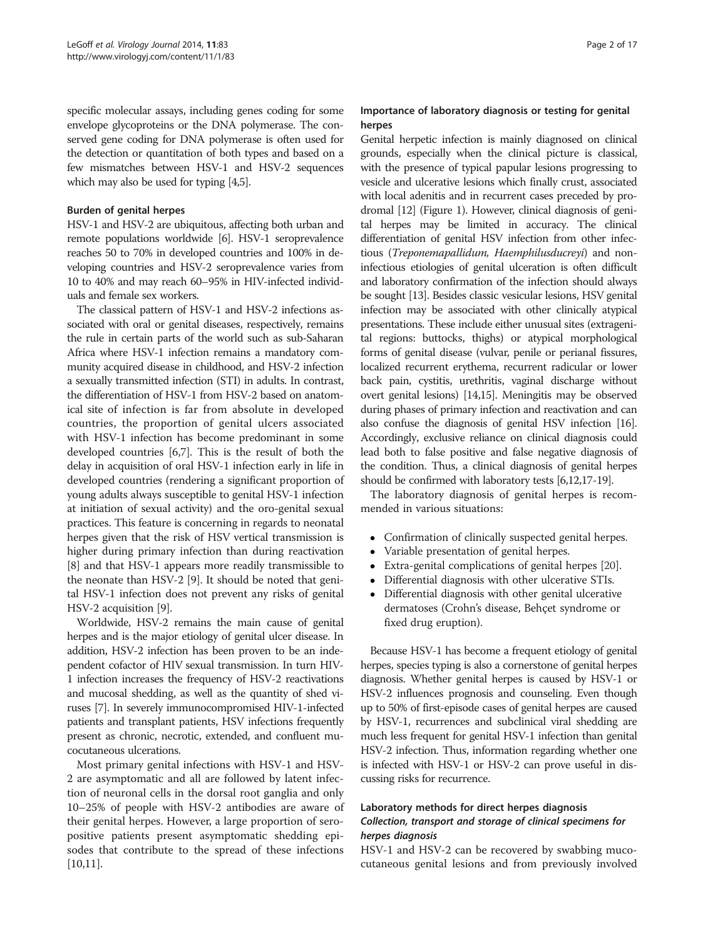specific molecular assays, including genes coding for some envelope glycoproteins or the DNA polymerase. The conserved gene coding for DNA polymerase is often used for the detection or quantitation of both types and based on a few mismatches between HSV-1 and HSV-2 sequences which may also be used for typing [[4,5](#page-14-0)].

#### Burden of genital herpes

HSV-1 and HSV-2 are ubiquitous, affecting both urban and remote populations worldwide [\[6](#page-14-0)]. HSV-1 seroprevalence reaches 50 to 70% in developed countries and 100% in developing countries and HSV-2 seroprevalence varies from 10 to 40% and may reach 60–95% in HIV-infected individuals and female sex workers.

The classical pattern of HSV-1 and HSV-2 infections associated with oral or genital diseases, respectively, remains the rule in certain parts of the world such as sub-Saharan Africa where HSV-1 infection remains a mandatory community acquired disease in childhood, and HSV-2 infection a sexually transmitted infection (STI) in adults. In contrast, the differentiation of HSV-1 from HSV-2 based on anatomical site of infection is far from absolute in developed countries, the proportion of genital ulcers associated with HSV-1 infection has become predominant in some developed countries [[6](#page-14-0),[7](#page-14-0)]. This is the result of both the delay in acquisition of oral HSV-1 infection early in life in developed countries (rendering a significant proportion of young adults always susceptible to genital HSV-1 infection at initiation of sexual activity) and the oro-genital sexual practices. This feature is concerning in regards to neonatal herpes given that the risk of HSV vertical transmission is higher during primary infection than during reactivation [[8\]](#page-15-0) and that HSV-1 appears more readily transmissible to the neonate than HSV-2 [\[9](#page-15-0)]. It should be noted that genital HSV-1 infection does not prevent any risks of genital HSV-2 acquisition [[9](#page-15-0)].

Worldwide, HSV-2 remains the main cause of genital herpes and is the major etiology of genital ulcer disease. In addition, HSV-2 infection has been proven to be an independent cofactor of HIV sexual transmission. In turn HIV-1 infection increases the frequency of HSV-2 reactivations and mucosal shedding, as well as the quantity of shed viruses [[7](#page-14-0)]. In severely immunocompromised HIV-1-infected patients and transplant patients, HSV infections frequently present as chronic, necrotic, extended, and confluent mucocutaneous ulcerations.

Most primary genital infections with HSV-1 and HSV-2 are asymptomatic and all are followed by latent infection of neuronal cells in the dorsal root ganglia and only 10–25% of people with HSV-2 antibodies are aware of their genital herpes. However, a large proportion of seropositive patients present asymptomatic shedding episodes that contribute to the spread of these infections  $[10,11]$  $[10,11]$ .

# Importance of laboratory diagnosis or testing for genital herpes

Genital herpetic infection is mainly diagnosed on clinical grounds, especially when the clinical picture is classical, with the presence of typical papular lesions progressing to vesicle and ulcerative lesions which finally crust, associated with local adenitis and in recurrent cases preceded by prodromal [\[12](#page-15-0)] (Figure [1](#page-2-0)). However, clinical diagnosis of genital herpes may be limited in accuracy. The clinical differentiation of genital HSV infection from other infectious (Treponemapallidum, Haemphilusducreyi) and noninfectious etiologies of genital ulceration is often difficult and laboratory confirmation of the infection should always be sought [\[13\]](#page-15-0). Besides classic vesicular lesions, HSV genital infection may be associated with other clinically atypical presentations. These include either unusual sites (extragenital regions: buttocks, thighs) or atypical morphological forms of genital disease (vulvar, penile or perianal fissures, localized recurrent erythema, recurrent radicular or lower back pain, cystitis, urethritis, vaginal discharge without overt genital lesions) [[14,15](#page-15-0)]. Meningitis may be observed during phases of primary infection and reactivation and can also confuse the diagnosis of genital HSV infection [\[16](#page-15-0)]. Accordingly, exclusive reliance on clinical diagnosis could lead both to false positive and false negative diagnosis of the condition. Thus, a clinical diagnosis of genital herpes should be confirmed with laboratory tests [\[6](#page-14-0)[,12,17-19\]](#page-15-0).

The laboratory diagnosis of genital herpes is recommended in various situations:

- Confirmation of clinically suspected genital herpes.<br>• Variable presentation of genital herpes
- 
- Variable presentation of genital herpes.<br>• Extra-genital complications of genital h Extra-genital complications of genital herpes [[20](#page-15-0)].
- Differential diagnosis with other ulcerative STIs.
- Differential diagnosis with other genital ulcerative dermatoses (Crohn's disease, Behçet syndrome or fixed drug eruption).

Because HSV-1 has become a frequent etiology of genital herpes, species typing is also a cornerstone of genital herpes diagnosis. Whether genital herpes is caused by HSV-1 or HSV-2 influences prognosis and counseling. Even though up to 50% of first-episode cases of genital herpes are caused by HSV-1, recurrences and subclinical viral shedding are much less frequent for genital HSV-1 infection than genital HSV-2 infection. Thus, information regarding whether one is infected with HSV-1 or HSV-2 can prove useful in discussing risks for recurrence.

# Laboratory methods for direct herpes diagnosis Collection, transport and storage of clinical specimens for herpes diagnosis

HSV-1 and HSV-2 can be recovered by swabbing mucocutaneous genital lesions and from previously involved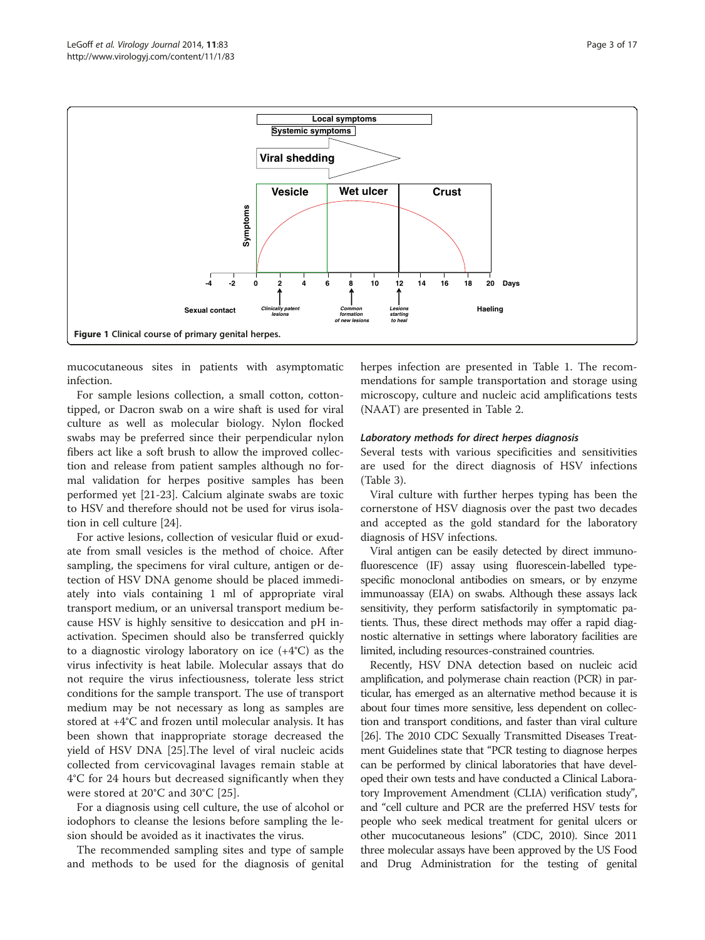<span id="page-2-0"></span>

mucocutaneous sites in patients with asymptomatic infection.

For sample lesions collection, a small cotton, cottontipped, or Dacron swab on a wire shaft is used for viral culture as well as molecular biology. Nylon flocked swabs may be preferred since their perpendicular nylon fibers act like a soft brush to allow the improved collection and release from patient samples although no formal validation for herpes positive samples has been performed yet [[21-23\]](#page-15-0). Calcium alginate swabs are toxic to HSV and therefore should not be used for virus isolation in cell culture [[24](#page-15-0)].

For active lesions, collection of vesicular fluid or exudate from small vesicles is the method of choice. After sampling, the specimens for viral culture, antigen or detection of HSV DNA genome should be placed immediately into vials containing 1 ml of appropriate viral transport medium, or an universal transport medium because HSV is highly sensitive to desiccation and pH inactivation. Specimen should also be transferred quickly to a diagnostic virology laboratory on ice (+4°C) as the virus infectivity is heat labile. Molecular assays that do not require the virus infectiousness, tolerate less strict conditions for the sample transport. The use of transport medium may be not necessary as long as samples are stored at +4°C and frozen until molecular analysis. It has been shown that inappropriate storage decreased the yield of HSV DNA [[25](#page-15-0)].The level of viral nucleic acids collected from cervicovaginal lavages remain stable at 4°C for 24 hours but decreased significantly when they were stored at 20°C and 30°C [[25\]](#page-15-0).

For a diagnosis using cell culture, the use of alcohol or iodophors to cleanse the lesions before sampling the lesion should be avoided as it inactivates the virus.

The recommended sampling sites and type of sample and methods to be used for the diagnosis of genital herpes infection are presented in Table [1.](#page-3-0) The recommendations for sample transportation and storage using microscopy, culture and nucleic acid amplifications tests (NAAT) are presented in Table [2](#page-4-0).

#### Laboratory methods for direct herpes diagnosis

Several tests with various specificities and sensitivities are used for the direct diagnosis of HSV infections (Table [3\)](#page-5-0).

Viral culture with further herpes typing has been the cornerstone of HSV diagnosis over the past two decades and accepted as the gold standard for the laboratory diagnosis of HSV infections.

Viral antigen can be easily detected by direct immunofluorescence (IF) assay using fluorescein-labelled typespecific monoclonal antibodies on smears, or by enzyme immunoassay (EIA) on swabs. Although these assays lack sensitivity, they perform satisfactorily in symptomatic patients. Thus, these direct methods may offer a rapid diagnostic alternative in settings where laboratory facilities are limited, including resources-constrained countries.

Recently, HSV DNA detection based on nucleic acid amplification, and polymerase chain reaction (PCR) in particular, has emerged as an alternative method because it is about four times more sensitive, less dependent on collection and transport conditions, and faster than viral culture [[26](#page-15-0)]. The 2010 CDC Sexually Transmitted Diseases Treatment Guidelines state that "PCR testing to diagnose herpes can be performed by clinical laboratories that have developed their own tests and have conducted a Clinical Laboratory Improvement Amendment (CLIA) verification study", and "cell culture and PCR are the preferred HSV tests for people who seek medical treatment for genital ulcers or other mucocutaneous lesions" (CDC, 2010). Since 2011 three molecular assays have been approved by the US Food and Drug Administration for the testing of genital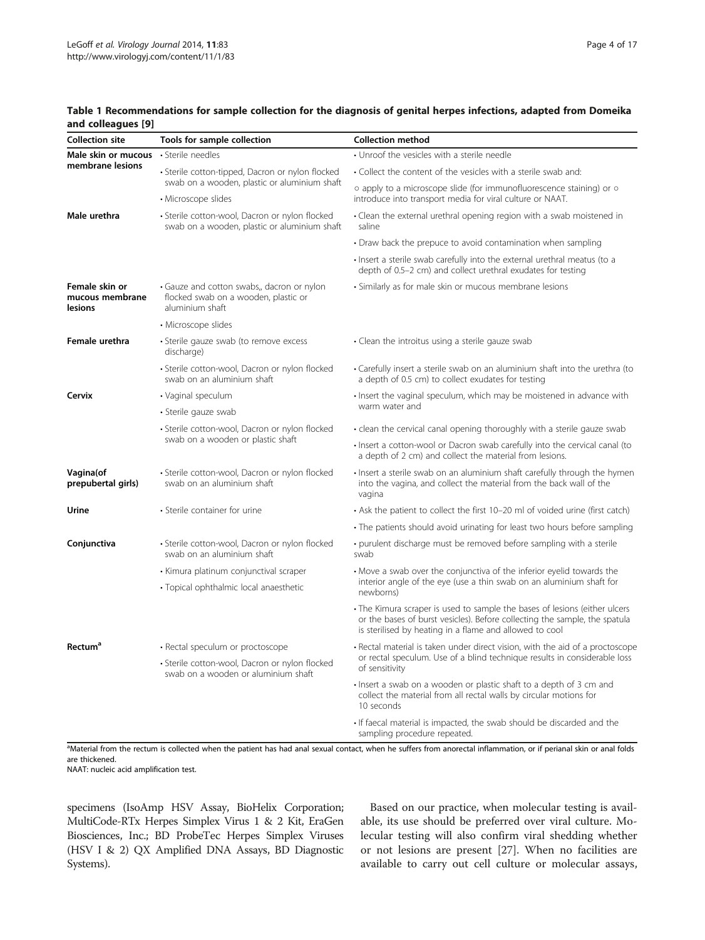#### <span id="page-3-0"></span>Table 1 Recommendations for sample collection for the diagnosis of genital herpes infections, adapted from Domeika and colleagues [[9](#page-15-0)]

| <b>Collection site</b>                              | Tools for sample collection                                                                           | <b>Collection method</b>                                                                                                                                                                                            |  |  |  |
|-----------------------------------------------------|-------------------------------------------------------------------------------------------------------|---------------------------------------------------------------------------------------------------------------------------------------------------------------------------------------------------------------------|--|--|--|
| Male skin or mucous                                 | · Sterile needles                                                                                     | • Unroof the vesicles with a sterile needle                                                                                                                                                                         |  |  |  |
| membrane lesions                                    | · Sterile cotton-tipped, Dacron or nylon flocked                                                      | • Collect the content of the vesicles with a sterile swab and:                                                                                                                                                      |  |  |  |
|                                                     | swab on a wooden, plastic or aluminium shaft<br>• Microscope slides                                   | o apply to a microscope slide (for immunofluorescence staining) or o<br>introduce into transport media for viral culture or NAAT.                                                                                   |  |  |  |
| Male urethra                                        | · Sterile cotton-wool, Dacron or nylon flocked<br>swab on a wooden, plastic or aluminium shaft        | • Clean the external urethral opening region with a swab moistened in<br>saline                                                                                                                                     |  |  |  |
|                                                     |                                                                                                       | • Draw back the prepuce to avoid contamination when sampling                                                                                                                                                        |  |  |  |
|                                                     |                                                                                                       | • Insert a sterile swab carefully into the external urethral meatus (to a<br>depth of 0.5–2 cm) and collect urethral exudates for testing                                                                           |  |  |  |
| Female skin or<br>mucous membrane<br><b>lesions</b> | • Gauze and cotton swabs,, dacron or nylon<br>flocked swab on a wooden, plastic or<br>aluminium shaft | • Similarly as for male skin or mucous membrane lesions                                                                                                                                                             |  |  |  |
|                                                     | • Microscope slides                                                                                   |                                                                                                                                                                                                                     |  |  |  |
| Female urethra                                      | · Sterile gauze swab (to remove excess<br>discharge)                                                  | • Clean the introitus using a sterile gauze swab                                                                                                                                                                    |  |  |  |
|                                                     | • Sterile cotton-wool, Dacron or nylon flocked<br>swab on an aluminium shaft                          | • Carefully insert a sterile swab on an aluminium shaft into the urethra (to<br>a depth of 0.5 cm) to collect exudates for testing                                                                                  |  |  |  |
| Cervix                                              | • Vaginal speculum                                                                                    | . Insert the vaginal speculum, which may be moistened in advance with                                                                                                                                               |  |  |  |
|                                                     | · Sterile gauze swab                                                                                  | warm water and                                                                                                                                                                                                      |  |  |  |
|                                                     | · Sterile cotton-wool, Dacron or nylon flocked                                                        | • clean the cervical canal opening thoroughly with a sterile gauze swab                                                                                                                                             |  |  |  |
|                                                     | swab on a wooden or plastic shaft                                                                     | · Insert a cotton-wool or Dacron swab carefully into the cervical canal (to<br>a depth of 2 cm) and collect the material from lesions.                                                                              |  |  |  |
| Vagina(of<br>prepubertal girls)                     | • Sterile cotton-wool, Dacron or nylon flocked<br>swab on an aluminium shaft                          | • Insert a sterile swab on an aluminium shaft carefully through the hymen<br>into the vagina, and collect the material from the back wall of the<br>vagina                                                          |  |  |  |
| Urine                                               | • Sterile container for urine                                                                         | • Ask the patient to collect the first 10-20 ml of voided urine (first catch)                                                                                                                                       |  |  |  |
|                                                     |                                                                                                       | • The patients should avoid urinating for least two hours before sampling                                                                                                                                           |  |  |  |
| Conjunctiva                                         | · Sterile cotton-wool, Dacron or nylon flocked<br>swab on an aluminium shaft                          | • purulent discharge must be removed before sampling with a sterile<br>swab                                                                                                                                         |  |  |  |
|                                                     | • Kimura platinum conjunctival scraper                                                                | • Move a swab over the conjunctiva of the inferior eyelid towards the                                                                                                                                               |  |  |  |
|                                                     | · Topical ophthalmic local anaesthetic                                                                | interior angle of the eye (use a thin swab on an aluminium shaft for<br>newborns)                                                                                                                                   |  |  |  |
|                                                     |                                                                                                       | • The Kimura scraper is used to sample the bases of lesions (either ulcers<br>or the bases of burst vesicles). Before collecting the sample, the spatula<br>is sterilised by heating in a flame and allowed to cool |  |  |  |
| <b>Rectum<sup>a</sup></b>                           | • Rectal speculum or proctoscope                                                                      | • Rectal material is taken under direct vision, with the aid of a proctoscope                                                                                                                                       |  |  |  |
|                                                     | • Sterile cotton-wool, Dacron or nylon flocked<br>swab on a wooden or aluminium shaft                 | or rectal speculum. Use of a blind technique results in considerable loss<br>of sensitivity                                                                                                                         |  |  |  |
|                                                     |                                                                                                       | · Insert a swab on a wooden or plastic shaft to a depth of 3 cm and<br>collect the material from all rectal walls by circular motions for<br>10 seconds                                                             |  |  |  |
|                                                     |                                                                                                       | • If faecal material is impacted, the swab should be discarded and the<br>sampling procedure repeated.                                                                                                              |  |  |  |

<sup>a</sup>Material from the rectum is collected when the patient has had anal sexual contact, when he suffers from anorectal inflammation, or if perianal skin or anal folds are thickened.

NAAT: nucleic acid amplification test.

specimens (IsoAmp HSV Assay, BioHelix Corporation; MultiCode-RTx Herpes Simplex Virus 1 & 2 Kit, EraGen Biosciences, Inc.; BD ProbeTec Herpes Simplex Viruses (HSV I & 2) QX Amplified DNA Assays, BD Diagnostic Systems).

Based on our practice, when molecular testing is available, its use should be preferred over viral culture. Molecular testing will also confirm viral shedding whether or not lesions are present [[27](#page-15-0)]. When no facilities are available to carry out cell culture or molecular assays,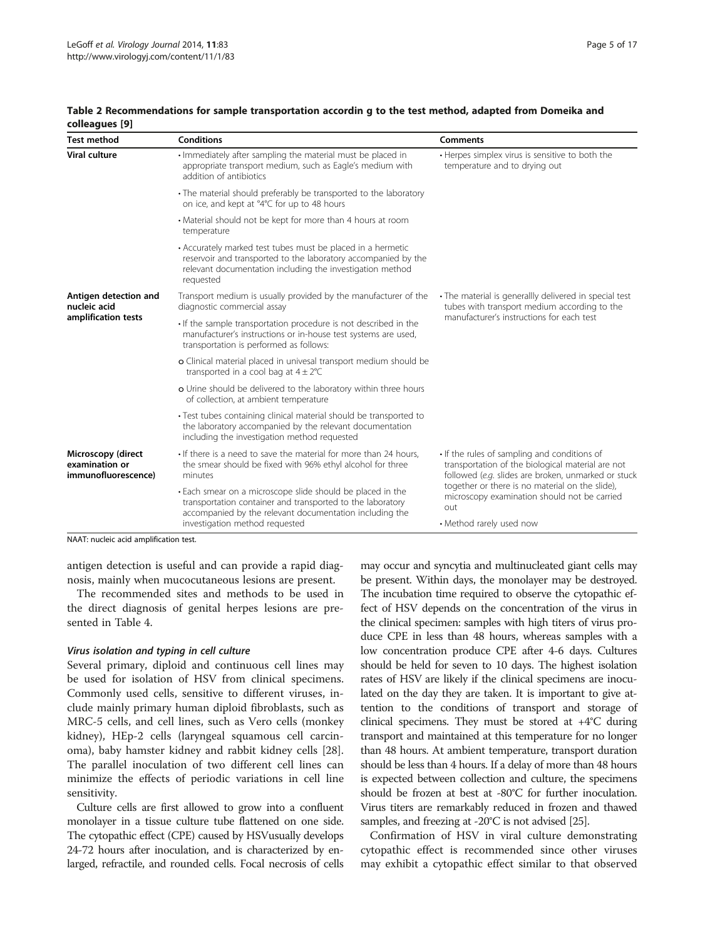| <b>Test method</b>                                          | <b>Conditions</b>                                                                                                                                                                                       | <b>Comments</b>                                                                                                                                          |  |  |
|-------------------------------------------------------------|---------------------------------------------------------------------------------------------------------------------------------------------------------------------------------------------------------|----------------------------------------------------------------------------------------------------------------------------------------------------------|--|--|
| <b>Viral culture</b>                                        | · Immediately after sampling the material must be placed in<br>appropriate transport medium, such as Eagle's medium with<br>addition of antibiotics                                                     | • Herpes simplex virus is sensitive to both the<br>temperature and to drying out                                                                         |  |  |
|                                                             | • The material should preferably be transported to the laboratory<br>on ice, and kept at °4°C for up to 48 hours                                                                                        |                                                                                                                                                          |  |  |
|                                                             | • Material should not be kept for more than 4 hours at room<br>temperature                                                                                                                              |                                                                                                                                                          |  |  |
|                                                             | • Accurately marked test tubes must be placed in a hermetic<br>reservoir and transported to the laboratory accompanied by the<br>relevant documentation including the investigation method<br>requested |                                                                                                                                                          |  |  |
| Antigen detection and<br>nucleic acid                       | Transport medium is usually provided by the manufacturer of the<br>diagnostic commercial assay                                                                                                          | • The material is generallly delivered in special test<br>tubes with transport medium according to the<br>manufacturer's instructions for each test      |  |  |
| amplification tests                                         | . If the sample transportation procedure is not described in the<br>manufacturer's instructions or in-house test systems are used,<br>transportation is performed as follows:                           |                                                                                                                                                          |  |  |
|                                                             | o Clinical material placed in univesal transport medium should be<br>transported in a cool bag at $4 \pm 2^{\circ}C$                                                                                    |                                                                                                                                                          |  |  |
|                                                             | o Urine should be delivered to the laboratory within three hours<br>of collection, at ambient temperature                                                                                               |                                                                                                                                                          |  |  |
|                                                             | • Test tubes containing clinical material should be transported to<br>the laboratory accompanied by the relevant documentation<br>including the investigation method requested                          |                                                                                                                                                          |  |  |
| Microscopy (direct<br>examination or<br>immunofluorescence) | • If there is a need to save the material for more than 24 hours,<br>the smear should be fixed with 96% ethyl alcohol for three<br>minutes                                                              | • If the rules of sampling and conditions of<br>transportation of the biological material are not<br>followed (e.g. slides are broken, unmarked or stuck |  |  |
|                                                             | . Each smear on a microscope slide should be placed in the<br>transportation container and transported to the laboratory<br>accompanied by the relevant documentation including the                     | together or there is no material on the slide),<br>microscopy examination should not be carried<br>out                                                   |  |  |
|                                                             | investigation method requested                                                                                                                                                                          | • Method rarely used now                                                                                                                                 |  |  |

<span id="page-4-0"></span>Table 2 Recommendations for sample transportation accordin g to the test method, adapted from Domeika and colleagues [[9\]](#page-15-0)

NAAT: nucleic acid amplification test.

antigen detection is useful and can provide a rapid diagnosis, mainly when mucocutaneous lesions are present.

The recommended sites and methods to be used in the direct diagnosis of genital herpes lesions are presented in Table [4.](#page-7-0)

#### Virus isolation and typing in cell culture

Several primary, diploid and continuous cell lines may be used for isolation of HSV from clinical specimens. Commonly used cells, sensitive to different viruses, include mainly primary human diploid fibroblasts, such as MRC-5 cells, and cell lines, such as Vero cells (monkey kidney), HEp-2 cells (laryngeal squamous cell carcinoma), baby hamster kidney and rabbit kidney cells [\[28](#page-15-0)]. The parallel inoculation of two different cell lines can minimize the effects of periodic variations in cell line sensitivity.

Culture cells are first allowed to grow into a confluent monolayer in a tissue culture tube flattened on one side. The cytopathic effect (CPE) caused by HSVusually develops 24-72 hours after inoculation, and is characterized by enlarged, refractile, and rounded cells. Focal necrosis of cells

may occur and syncytia and multinucleated giant cells may be present. Within days, the monolayer may be destroyed. The incubation time required to observe the cytopathic effect of HSV depends on the concentration of the virus in the clinical specimen: samples with high titers of virus produce CPE in less than 48 hours, whereas samples with a low concentration produce CPE after 4-6 days. Cultures should be held for seven to 10 days. The highest isolation rates of HSV are likely if the clinical specimens are inoculated on the day they are taken. It is important to give attention to the conditions of transport and storage of clinical specimens. They must be stored at +4°C during transport and maintained at this temperature for no longer than 48 hours. At ambient temperature, transport duration should be less than 4 hours. If a delay of more than 48 hours is expected between collection and culture, the specimens should be frozen at best at -80°C for further inoculation. Virus titers are remarkably reduced in frozen and thawed samples, and freezing at -20°C is not advised [\[25](#page-15-0)].

Confirmation of HSV in viral culture demonstrating cytopathic effect is recommended since other viruses may exhibit a cytopathic effect similar to that observed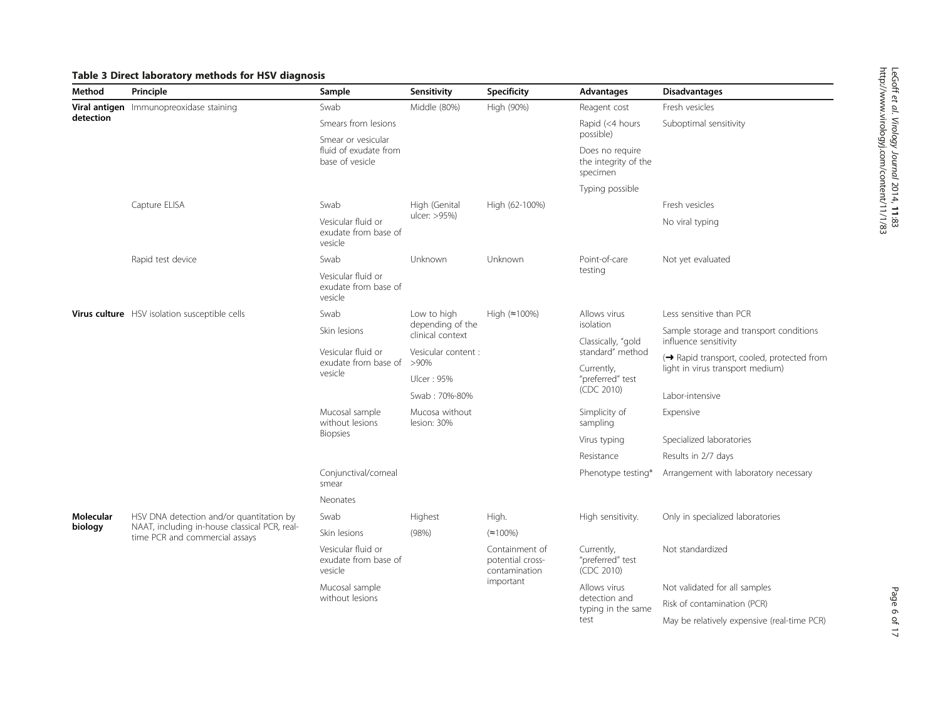# <span id="page-5-0"></span>Table 3 Direct laboratory methods for HSV diagnosis

| Method           | Principle                                                                       | Sample                                                | Sensitivity                          | Specificity                                         | Advantages                                                       | <b>Disadvantages</b>                                             |
|------------------|---------------------------------------------------------------------------------|-------------------------------------------------------|--------------------------------------|-----------------------------------------------------|------------------------------------------------------------------|------------------------------------------------------------------|
|                  | Viral antigen Immunopreoxidase staining                                         | Swab                                                  | Middle (80%)                         | High (90%)                                          | Reagent cost                                                     | Fresh vesicles                                                   |
| detection        |                                                                                 | Smears from lesions<br>Smear or vesicular             |                                      |                                                     | Rapid (<4 hours<br>possible)                                     | Suboptimal sensitivity                                           |
|                  |                                                                                 | fluid of exudate from<br>base of vesicle              |                                      |                                                     | Does no require<br>the integrity of the<br>specimen              |                                                                  |
|                  |                                                                                 |                                                       |                                      |                                                     | Typing possible                                                  |                                                                  |
|                  | Capture ELISA                                                                   | Swab                                                  | High (Genital                        | High (62-100%)                                      |                                                                  | Fresh vesicles                                                   |
|                  |                                                                                 | Vesicular fluid or<br>exudate from base of<br>vesicle | ulcer: >95%)                         |                                                     |                                                                  | No viral typing                                                  |
|                  | Rapid test device                                                               | Swab                                                  | Unknown                              | Unknown                                             | Point-of-care                                                    | Not yet evaluated                                                |
|                  |                                                                                 | Vesicular fluid or<br>exudate from base of<br>vesicle |                                      |                                                     | testing                                                          |                                                                  |
|                  | Virus culture HSV isolation susceptible cells                                   | Swab                                                  | Low to high                          | High $(*100\%)$                                     | Allows virus<br>isolation<br>Classically, "gold                  | Less sensitive than PCR                                          |
|                  |                                                                                 | Skin lesions                                          | depending of the<br>clinical context |                                                     |                                                                  | Sample storage and transport conditions<br>influence sensitivity |
|                  |                                                                                 | Vesicular fluid or<br>exudate from base of            | Vesicular content :<br>$>90\%$       |                                                     | standard" method<br>Currently,<br>"preferred" test<br>(CDC 2010) | (→ Rapid transport, cooled, protected from                       |
|                  |                                                                                 | vesicle                                               | Ulcer: 95%                           |                                                     |                                                                  | light in virus transport medium)                                 |
|                  |                                                                                 |                                                       | Swab: 70%-80%                        |                                                     |                                                                  | Labor-intensive                                                  |
|                  |                                                                                 | Mucosal sample<br>without lesions                     | Mucosa without<br>lesion: 30%        |                                                     | Simplicity of<br>sampling                                        | Expensive                                                        |
|                  |                                                                                 | <b>Biopsies</b>                                       |                                      |                                                     | Virus typing                                                     | Specialized laboratories                                         |
|                  |                                                                                 |                                                       |                                      |                                                     | Resistance                                                       | Results in 2/7 days                                              |
|                  |                                                                                 | Conjunctival/corneal<br>smear                         |                                      |                                                     | Phenotype testing*                                               | Arrangement with laboratory necessary                            |
|                  |                                                                                 | Neonates                                              |                                      |                                                     |                                                                  |                                                                  |
| <b>Molecular</b> | HSV DNA detection and/or quantitation by                                        | Swab                                                  | Highest                              | High.                                               | High sensitivity.                                                | Only in specialized laboratories                                 |
| biology          | NAAT, including in-house classical PCR, real-<br>time PCR and commercial assays | Skin lesions                                          | (98%)                                | $(\approx 100\%)$                                   |                                                                  |                                                                  |
|                  |                                                                                 | Vesicular fluid or<br>exudate from base of<br>vesicle |                                      | Containment of<br>potential cross-<br>contamination | Currently,<br>"preferred" test<br>(CDC 2010)                     | Not standardized                                                 |
|                  |                                                                                 | Mucosal sample                                        |                                      | important                                           | Allows virus                                                     | Not validated for all samples                                    |
|                  |                                                                                 | without lesions                                       |                                      |                                                     | detection and<br>typing in the same<br>test                      | Risk of contamination (PCR)                                      |
|                  |                                                                                 |                                                       |                                      |                                                     |                                                                  | May be relatively expensive (real-time PCR)                      |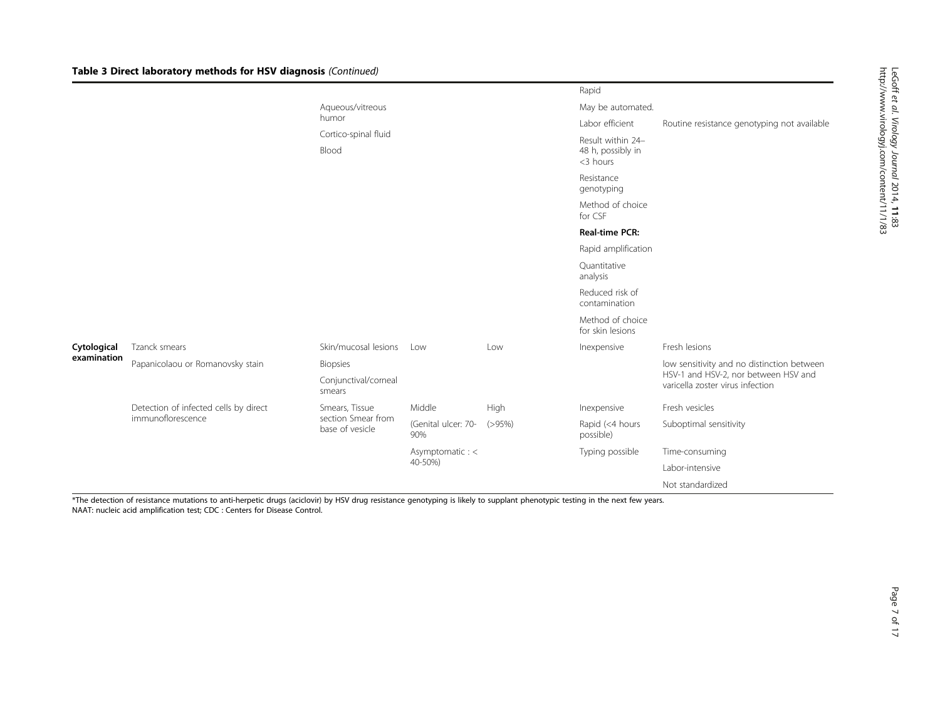|             |                                       |                                       |                               |                             | Rapid                                |                                                                          |  |
|-------------|---------------------------------------|---------------------------------------|-------------------------------|-----------------------------|--------------------------------------|--------------------------------------------------------------------------|--|
|             |                                       | Aqueous/vitreous                      |                               |                             | May be automated.                    |                                                                          |  |
|             |                                       | humor                                 | Cortico-spinal fluid<br>Blood |                             |                                      | Routine resistance genotyping not available                              |  |
|             |                                       |                                       |                               |                             |                                      |                                                                          |  |
|             |                                       |                                       |                               |                             | Resistance<br>genotyping             |                                                                          |  |
|             |                                       |                                       |                               | Method of choice<br>for CSF |                                      |                                                                          |  |
|             |                                       |                                       |                               |                             | <b>Real-time PCR:</b>                |                                                                          |  |
|             |                                       |                                       |                               |                             | Rapid amplification                  |                                                                          |  |
|             |                                       |                                       |                               |                             | Quantitative<br>analysis             |                                                                          |  |
|             |                                       |                                       |                               |                             | Reduced risk of<br>contamination     |                                                                          |  |
|             |                                       |                                       |                               |                             | Method of choice<br>for skin lesions |                                                                          |  |
| Cytological | Tzanck smears                         | Skin/mucosal lesions                  | Low                           | Low                         | Inexpensive                          | Fresh lesions                                                            |  |
| examination | Papanicolaou or Romanovsky stain      | Biopsies                              |                               |                             |                                      | low sensitivity and no distinction between                               |  |
|             |                                       | Conjunctival/corneal<br>smears        |                               |                             |                                      | HSV-1 and HSV-2, nor between HSV and<br>varicella zoster virus infection |  |
|             | Detection of infected cells by direct | Smears, Tissue                        | Middle                        | High                        | Inexpensive                          | Fresh vesicles                                                           |  |
|             | immunoflorescence                     | section Smear from<br>base of vesicle | (Genital ulcer: 70-<br>90%    | (>95%)                      | Rapid (<4 hours<br>possible)         | Suboptimal sensitivity                                                   |  |
|             |                                       |                                       | Asymptomatic : <              |                             | Typing possible                      | Time-consuming                                                           |  |
|             |                                       |                                       | 40-50%)                       |                             |                                      | Labor-intensive                                                          |  |
|             |                                       |                                       |                               |                             |                                      | Not standardized                                                         |  |

The detection of resistance mutations to anti-herpetic drugs (aciclovir) by HSV drug resistance genotyping is likely to supplant phenotypic testing in the next few years. NAAT: nucleic acid amplification test; CDC : Centers for Disease Control.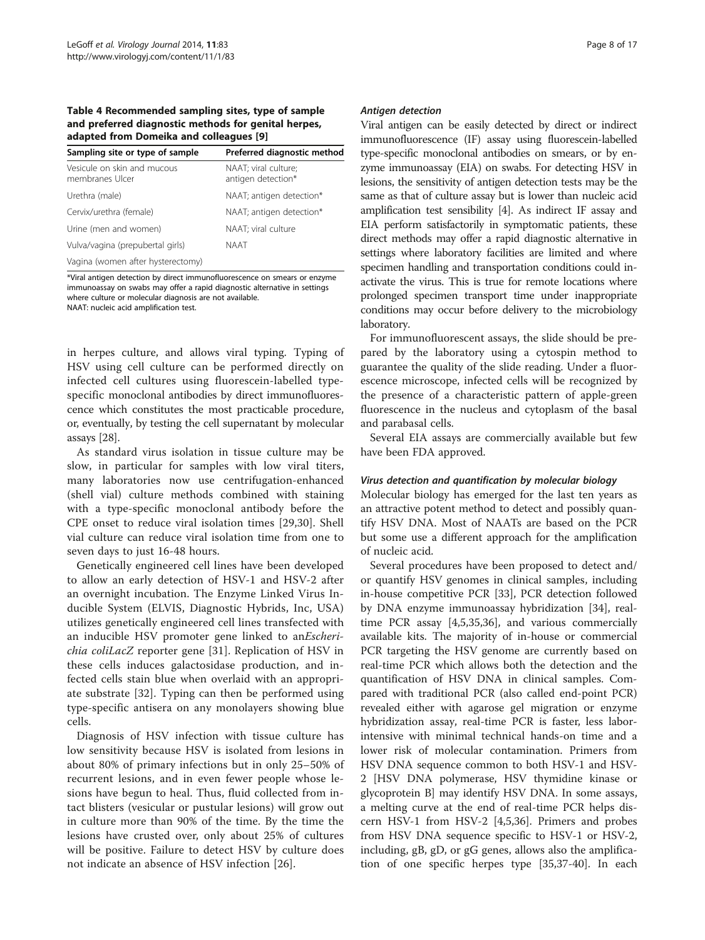<span id="page-7-0"></span>Table 4 Recommended sampling sites, type of sample and preferred diagnostic methods for genital herpes, adapted from Domeika and colleagues [[9\]](#page-15-0)

| Sampling site or type of sample                | Preferred diagnostic method                |
|------------------------------------------------|--------------------------------------------|
| Vesicule on skin and mucous<br>membranes Ulcer | NAAT; viral culture;<br>antigen detection* |
| Urethra (male)                                 | NAAT; antigen detection*                   |
| Cervix/urethra (female)                        | NAAT; antigen detection*                   |
| Urine (men and women)                          | NAAT; viral culture                        |
| Vulva/vagina (prepubertal girls)               | NAAT                                       |
| Vagina (women after hysterectomy)              |                                            |

\*Viral antigen detection by direct immunofluorescence on smears or enzyme immunoassay on swabs may offer a rapid diagnostic alternative in settings where culture or molecular diagnosis are not available. NAAT: nucleic acid amplification test.

in herpes culture, and allows viral typing. Typing of HSV using cell culture can be performed directly on infected cell cultures using fluorescein-labelled typespecific monoclonal antibodies by direct immunofluorescence which constitutes the most practicable procedure, or, eventually, by testing the cell supernatant by molecular assays [[28](#page-15-0)].

As standard virus isolation in tissue culture may be slow, in particular for samples with low viral titers, many laboratories now use centrifugation-enhanced (shell vial) culture methods combined with staining with a type-specific monoclonal antibody before the CPE onset to reduce viral isolation times [[29,30](#page-15-0)]. Shell vial culture can reduce viral isolation time from one to seven days to just 16-48 hours.

Genetically engineered cell lines have been developed to allow an early detection of HSV-1 and HSV-2 after an overnight incubation. The Enzyme Linked Virus Inducible System (ELVIS, Diagnostic Hybrids, Inc, USA) utilizes genetically engineered cell lines transfected with an inducible HSV promoter gene linked to anEscherichia coliLacZ reporter gene [\[31](#page-15-0)]. Replication of HSV in these cells induces galactosidase production, and infected cells stain blue when overlaid with an appropriate substrate [[32\]](#page-15-0). Typing can then be performed using type-specific antisera on any monolayers showing blue cells.

Diagnosis of HSV infection with tissue culture has low sensitivity because HSV is isolated from lesions in about 80% of primary infections but in only 25–50% of recurrent lesions, and in even fewer people whose lesions have begun to heal. Thus, fluid collected from intact blisters (vesicular or pustular lesions) will grow out in culture more than 90% of the time. By the time the lesions have crusted over, only about 25% of cultures will be positive. Failure to detect HSV by culture does not indicate an absence of HSV infection [\[26](#page-15-0)].

#### Antigen detection

Viral antigen can be easily detected by direct or indirect immunofluorescence (IF) assay using fluorescein-labelled type-specific monoclonal antibodies on smears, or by enzyme immunoassay (EIA) on swabs. For detecting HSV in lesions, the sensitivity of antigen detection tests may be the same as that of culture assay but is lower than nucleic acid amplification test sensibility [\[4\]](#page-14-0). As indirect IF assay and EIA perform satisfactorily in symptomatic patients, these direct methods may offer a rapid diagnostic alternative in settings where laboratory facilities are limited and where specimen handling and transportation conditions could inactivate the virus. This is true for remote locations where prolonged specimen transport time under inappropriate conditions may occur before delivery to the microbiology laboratory.

For immunofluorescent assays, the slide should be prepared by the laboratory using a cytospin method to guarantee the quality of the slide reading. Under a fluorescence microscope, infected cells will be recognized by the presence of a characteristic pattern of apple-green fluorescence in the nucleus and cytoplasm of the basal and parabasal cells.

Several EIA assays are commercially available but few have been FDA approved.

## Virus detection and quantification by molecular biology

Molecular biology has emerged for the last ten years as an attractive potent method to detect and possibly quantify HSV DNA. Most of NAATs are based on the PCR but some use a different approach for the amplification of nucleic acid.

Several procedures have been proposed to detect and/ or quantify HSV genomes in clinical samples, including in-house competitive PCR [[33\]](#page-15-0), PCR detection followed by DNA enzyme immunoassay hybridization [[34](#page-15-0)], realtime PCR assay [[4,5,](#page-14-0)[35,36\]](#page-15-0), and various commercially available kits. The majority of in-house or commercial PCR targeting the HSV genome are currently based on real-time PCR which allows both the detection and the quantification of HSV DNA in clinical samples. Compared with traditional PCR (also called end-point PCR) revealed either with agarose gel migration or enzyme hybridization assay, real-time PCR is faster, less laborintensive with minimal technical hands-on time and a lower risk of molecular contamination. Primers from HSV DNA sequence common to both HSV-1 and HSV-2 [HSV DNA polymerase, HSV thymidine kinase or glycoprotein B] may identify HSV DNA. In some assays, a melting curve at the end of real-time PCR helps discern HSV-1 from HSV-2 [\[4,5](#page-14-0)[,36](#page-15-0)]. Primers and probes from HSV DNA sequence specific to HSV-1 or HSV-2, including, gB, gD, or gG genes, allows also the amplification of one specific herpes type [\[35,37](#page-15-0)-[40\]](#page-15-0). In each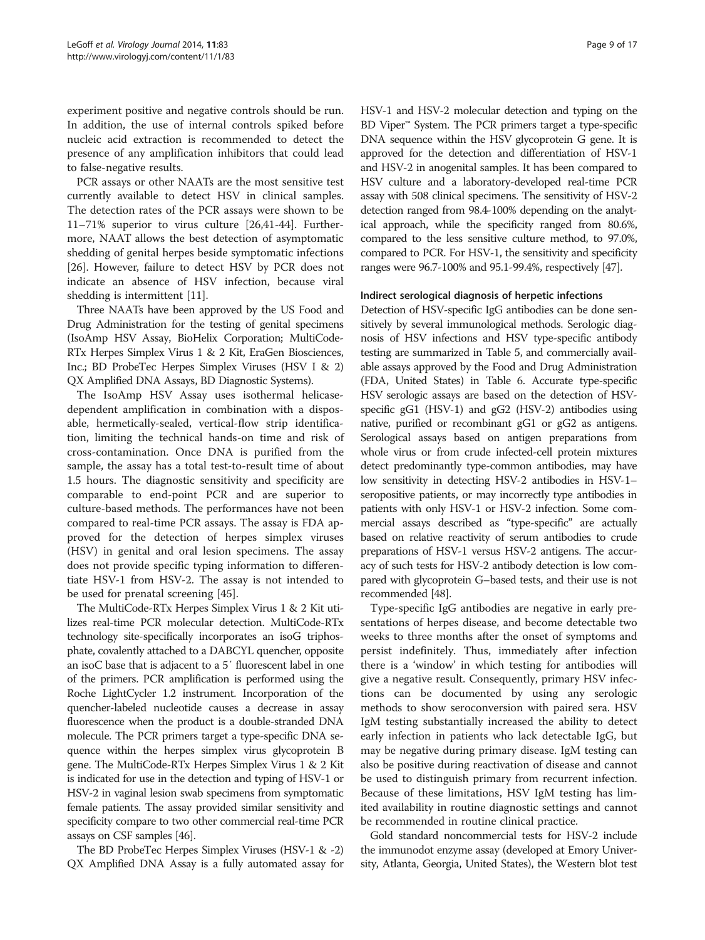experiment positive and negative controls should be run. In addition, the use of internal controls spiked before nucleic acid extraction is recommended to detect the presence of any amplification inhibitors that could lead to false-negative results.

PCR assays or other NAATs are the most sensitive test currently available to detect HSV in clinical samples. The detection rates of the PCR assays were shown to be 11–71% superior to virus culture [[26,41](#page-15-0)-[44\]](#page-15-0). Furthermore, NAAT allows the best detection of asymptomatic shedding of genital herpes beside symptomatic infections [[26\]](#page-15-0). However, failure to detect HSV by PCR does not indicate an absence of HSV infection, because viral shedding is intermittent [[11\]](#page-15-0).

Three NAATs have been approved by the US Food and Drug Administration for the testing of genital specimens (IsoAmp HSV Assay, BioHelix Corporation; MultiCode-RTx Herpes Simplex Virus 1 & 2 Kit, EraGen Biosciences, Inc.; BD ProbeTec Herpes Simplex Viruses (HSV I & 2) QX Amplified DNA Assays, BD Diagnostic Systems).

The IsoAmp HSV Assay uses isothermal helicasedependent amplification in combination with a disposable, hermetically-sealed, vertical-flow strip identification, limiting the technical hands-on time and risk of cross-contamination. Once DNA is purified from the sample, the assay has a total test-to-result time of about 1.5 hours. The diagnostic sensitivity and specificity are comparable to end-point PCR and are superior to culture-based methods. The performances have not been compared to real-time PCR assays. The assay is FDA approved for the detection of herpes simplex viruses (HSV) in genital and oral lesion specimens. The assay does not provide specific typing information to differentiate HSV-1 from HSV-2. The assay is not intended to be used for prenatal screening [\[45](#page-15-0)].

The MultiCode-RTx Herpes Simplex Virus 1 & 2 Kit utilizes real-time PCR molecular detection. MultiCode-RTx technology site-specifically incorporates an isoG triphosphate, covalently attached to a DABCYL quencher, opposite an isoC base that is adjacent to a 5′ fluorescent label in one of the primers. PCR amplification is performed using the Roche LightCycler 1.2 instrument. Incorporation of the quencher-labeled nucleotide causes a decrease in assay fluorescence when the product is a double-stranded DNA molecule. The PCR primers target a type-specific DNA sequence within the herpes simplex virus glycoprotein B gene. The MultiCode-RTx Herpes Simplex Virus 1 & 2 Kit is indicated for use in the detection and typing of HSV-1 or HSV-2 in vaginal lesion swab specimens from symptomatic female patients. The assay provided similar sensitivity and specificity compare to two other commercial real-time PCR assays on CSF samples [\[46](#page-15-0)].

The BD ProbeTec Herpes Simplex Viruses (HSV-1 & -2) QX Amplified DNA Assay is a fully automated assay for HSV-1 and HSV-2 molecular detection and typing on the BD Viper™ System. The PCR primers target a type-specific DNA sequence within the HSV glycoprotein G gene. It is approved for the detection and differentiation of HSV-1 and HSV-2 in anogenital samples. It has been compared to HSV culture and a laboratory-developed real-time PCR assay with 508 clinical specimens. The sensitivity of HSV-2 detection ranged from 98.4-100% depending on the analytical approach, while the specificity ranged from 80.6%, compared to the less sensitive culture method, to 97.0%, compared to PCR. For HSV-1, the sensitivity and specificity ranges were 96.7-100% and 95.1-99.4%, respectively [[47](#page-15-0)].

#### Indirect serological diagnosis of herpetic infections

Detection of HSV-specific IgG antibodies can be done sensitively by several immunological methods. Serologic diagnosis of HSV infections and HSV type-specific antibody testing are summarized in Table [5](#page-9-0), and commercially available assays approved by the Food and Drug Administration (FDA, United States) in Table [6.](#page-10-0) Accurate type-specific HSV serologic assays are based on the detection of HSVspecific gG1 (HSV-1) and gG2 (HSV-2) antibodies using native, purified or recombinant gG1 or gG2 as antigens. Serological assays based on antigen preparations from whole virus or from crude infected-cell protein mixtures detect predominantly type-common antibodies, may have low sensitivity in detecting HSV-2 antibodies in HSV-1– seropositive patients, or may incorrectly type antibodies in patients with only HSV-1 or HSV-2 infection. Some commercial assays described as "type-specific" are actually based on relative reactivity of serum antibodies to crude preparations of HSV-1 versus HSV-2 antigens. The accuracy of such tests for HSV-2 antibody detection is low compared with glycoprotein G–based tests, and their use is not recommended [\[48](#page-15-0)].

Type-specific IgG antibodies are negative in early presentations of herpes disease, and become detectable two weeks to three months after the onset of symptoms and persist indefinitely. Thus, immediately after infection there is a 'window' in which testing for antibodies will give a negative result. Consequently, primary HSV infections can be documented by using any serologic methods to show seroconversion with paired sera. HSV IgM testing substantially increased the ability to detect early infection in patients who lack detectable IgG, but may be negative during primary disease. IgM testing can also be positive during reactivation of disease and cannot be used to distinguish primary from recurrent infection. Because of these limitations, HSV IgM testing has limited availability in routine diagnostic settings and cannot be recommended in routine clinical practice.

Gold standard noncommercial tests for HSV-2 include the immunodot enzyme assay (developed at Emory University, Atlanta, Georgia, United States), the Western blot test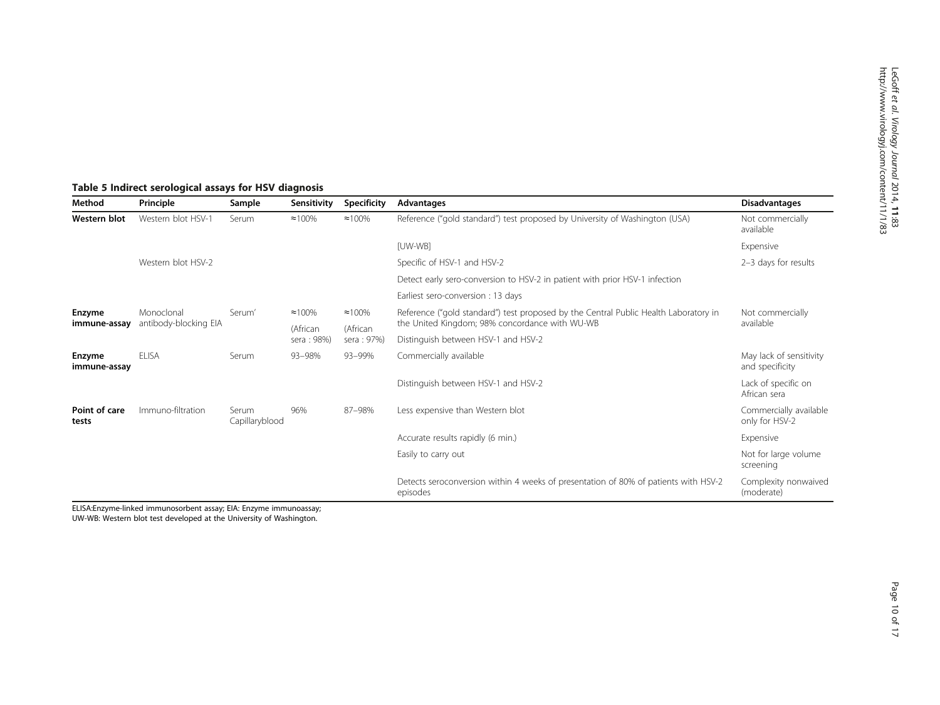# <span id="page-9-0"></span>Table 5 Indirect serological assays for HSV diagnosis

| Method                 | Principle                           | Sample                  | Sensitivity                 | <b>Specificity</b>          | Advantages                                                                                                                             | <b>Disadvantages</b>                       |
|------------------------|-------------------------------------|-------------------------|-----------------------------|-----------------------------|----------------------------------------------------------------------------------------------------------------------------------------|--------------------------------------------|
| Western blot           | Western blot HSV-1                  | Serum                   | $\approx 100\%$             | $\approx 100\%$             | Reference ("gold standard") test proposed by University of Washington (USA)                                                            | Not commercially<br>available              |
|                        |                                     |                         |                             |                             | [UW-WB]                                                                                                                                | Expensive                                  |
|                        | Western blot HSV-2                  |                         |                             |                             | Specific of HSV-1 and HSV-2                                                                                                            | 2-3 days for results                       |
|                        |                                     |                         |                             |                             | Detect early sero-conversion to HSV-2 in patient with prior HSV-1 infection                                                            |                                            |
|                        |                                     |                         |                             |                             | Earliest sero-conversion : 13 days                                                                                                     |                                            |
| Enzyme<br>immune-assay | Monoclonal<br>antibody-blocking EIA | Serum'                  | $\approx 100\%$<br>(African | $\approx 100\%$<br>(African | Reference ("gold standard") test proposed by the Central Public Health Laboratory in<br>the United Kingdom; 98% concordance with WU-WB | Not commercially<br>available              |
|                        |                                     |                         | sera: 98%)                  | sera: 97%)                  | Distinguish between HSV-1 and HSV-2                                                                                                    |                                            |
| Enzyme<br>immune-assay | <b>ELISA</b>                        | Serum                   | 93-98%                      | 93-99%                      | Commercially available                                                                                                                 | May lack of sensitivity<br>and specificity |
|                        |                                     |                         |                             |                             | Distinguish between HSV-1 and HSV-2                                                                                                    | Lack of specific on<br>African sera        |
| Point of care<br>tests | Immuno-filtration                   | Serum<br>Capillaryblood | 96%                         | 87-98%                      | Less expensive than Western blot                                                                                                       | Commercially available<br>only for HSV-2   |
|                        |                                     |                         |                             |                             | Accurate results rapidly (6 min.)                                                                                                      | Expensive                                  |
|                        |                                     |                         |                             |                             | Easily to carry out                                                                                                                    | Not for large volume<br>screening          |
|                        |                                     |                         |                             |                             | Detects seroconversion within 4 weeks of presentation of 80% of patients with HSV-2<br>episodes                                        | Complexity nonwaived<br>(moderate)         |

ELISA:Enzyme-linked immunosorbent assay; EIA: Enzyme immunoassay;

UW-WB: Western blot test developed at the University of Washington.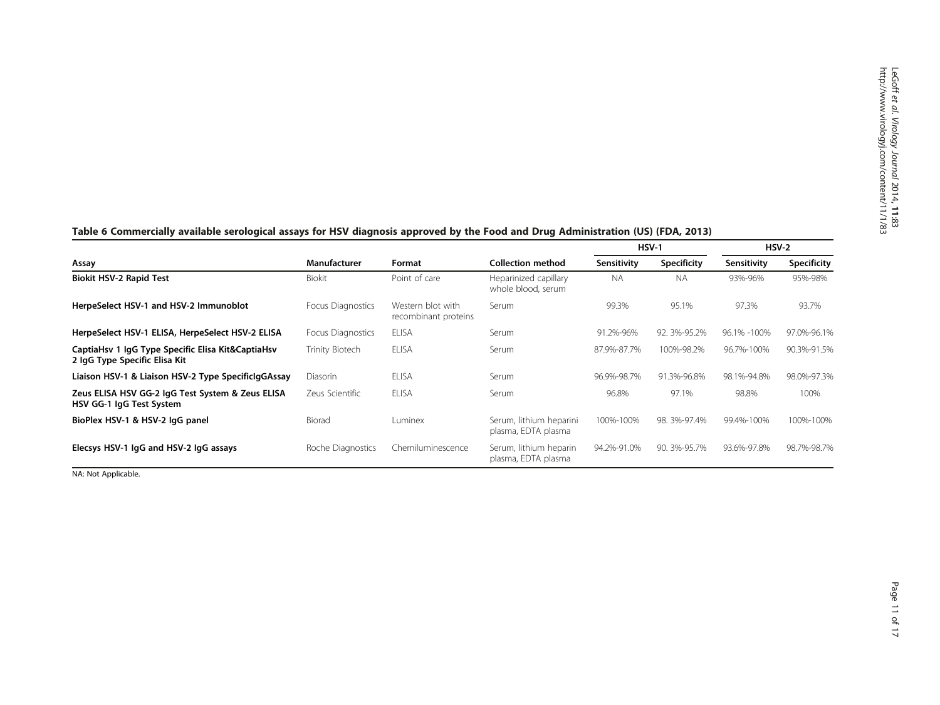|                                                                                    |                   |                                           |                                                |             | $HSV-1$            |             | $HSV-2$            |
|------------------------------------------------------------------------------------|-------------------|-------------------------------------------|------------------------------------------------|-------------|--------------------|-------------|--------------------|
| Assay                                                                              | Manufacturer      | Format                                    | <b>Collection method</b>                       | Sensitivity | <b>Specificity</b> | Sensitivity | <b>Specificity</b> |
| <b>Biokit HSV-2 Rapid Test</b>                                                     | <b>Biokit</b>     | Point of care                             | Heparinized capillary<br>whole blood, serum    | <b>NA</b>   | <b>NA</b>          | 93%-96%     | 95%-98%            |
| HerpeSelect HSV-1 and HSV-2 Immunoblot                                             | Focus Diagnostics | Western blot with<br>recombinant proteins | Serum                                          | 99.3%       | 95.1%              | 97.3%       | 93.7%              |
| HerpeSelect HSV-1 ELISA, HerpeSelect HSV-2 ELISA                                   | Focus Diagnostics | <b>ELISA</b>                              | Serum                                          | 91.2%-96%   | 92. 3%-95.2%       | 96.1% -100% | 97.0%-96.1%        |
| CaptiaHsv 1 IgG Type Specific Elisa Kit&CaptiaHsv<br>2 IgG Type Specific Elisa Kit | Trinity Biotech   | <b>ELISA</b>                              | Serum                                          | 87.9%-87.7% | 100%-98.2%         | 96.7%-100%  | 90.3%-91.5%        |
| Liaison HSV-1 & Liaison HSV-2 Type SpecificIgGAssay                                | <b>Diasorin</b>   | <b>ELISA</b>                              | Serum                                          | 96.9%-98.7% | 91.3%-96.8%        | 98.1%-94.8% | 98.0%-97.3%        |
| Zeus ELISA HSV GG-2 IgG Test System & Zeus ELISA<br>HSV GG-1 lgG Test System       | Zeus Scientific   | <b>ELISA</b>                              | Serum                                          | 96.8%       | 97.1%              | 98.8%       | 100%               |
| BioPlex HSV-1 & HSV-2 lgG panel                                                    | Biorad            | Luminex                                   | Serum, lithium heparini<br>plasma, EDTA plasma | 100%-100%   | 98. 3%-97.4%       | 99.4%-100%  | 100%-100%          |
| Elecsys HSV-1 IgG and HSV-2 IgG assays                                             | Roche Diagnostics | Chemiluminescence                         | Serum, lithium heparin<br>plasma, EDTA plasma  | 94.2%-91.0% | 90. 3%-95.7%       | 93.6%-97.8% | 98.7%-98.7%        |

# <span id="page-10-0"></span>Table 6 Commercially available serological assays for HSV diagnosis approved by the Food and Drug Administration (US) (FDA, 2013)

NA: Not Applicable.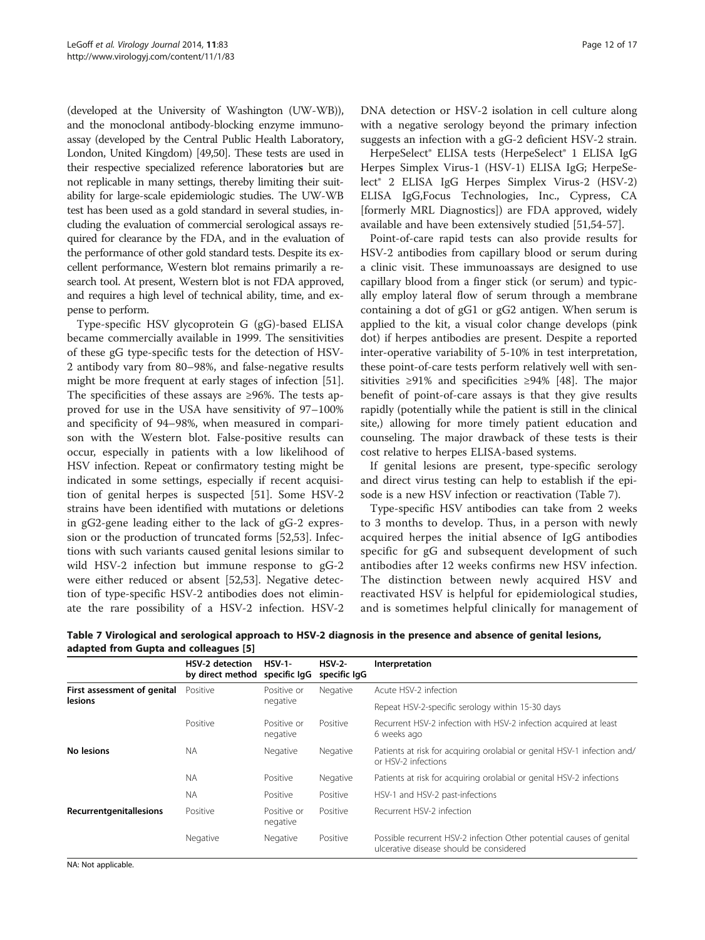(developed at the University of Washington (UW-WB)), and the monoclonal antibody-blocking enzyme immunoassay (developed by the Central Public Health Laboratory, London, United Kingdom) [\[49,50\]](#page-15-0). These tests are used in their respective specialized reference laboratories but are not replicable in many settings, thereby limiting their suitability for large-scale epidemiologic studies. The UW-WB test has been used as a gold standard in several studies, including the evaluation of commercial serological assays required for clearance by the FDA, and in the evaluation of the performance of other gold standard tests. Despite its excellent performance, Western blot remains primarily a research tool. At present, Western blot is not FDA approved, and requires a high level of technical ability, time, and expense to perform.

Type-specific HSV glycoprotein G (gG)-based ELISA became commercially available in 1999. The sensitivities of these gG type-specific tests for the detection of HSV-2 antibody vary from 80–98%, and false-negative results might be more frequent at early stages of infection [\[51](#page-15-0)]. The specificities of these assays are ≥96%. The tests approved for use in the USA have sensitivity of 97–100% and specificity of 94–98%, when measured in comparison with the Western blot. False-positive results can occur, especially in patients with a low likelihood of HSV infection. Repeat or confirmatory testing might be indicated in some settings, especially if recent acquisition of genital herpes is suspected [[51\]](#page-15-0). Some HSV-2 strains have been identified with mutations or deletions in gG2-gene leading either to the lack of gG-2 expression or the production of truncated forms [\[52,53](#page-16-0)]. Infections with such variants caused genital lesions similar to wild HSV-2 infection but immune response to gG-2 were either reduced or absent [\[52,53](#page-16-0)]. Negative detection of type-specific HSV-2 antibodies does not eliminate the rare possibility of a HSV-2 infection. HSV-2 DNA detection or HSV-2 isolation in cell culture along with a negative serology beyond the primary infection suggests an infection with a gG-2 deficient HSV-2 strain.

HerpeSelect® ELISA tests (HerpeSelect® 1 ELISA IgG Herpes Simplex Virus-1 (HSV-1) ELISA IgG; HerpeSelect® 2 ELISA IgG Herpes Simplex Virus-2 (HSV-2) ELISA IgG,Focus Technologies, Inc., Cypress, CA [formerly MRL Diagnostics]) are FDA approved, widely available and have been extensively studied [\[51](#page-15-0)[,54-57](#page-16-0)].

Point-of-care rapid tests can also provide results for HSV-2 antibodies from capillary blood or serum during a clinic visit. These immunoassays are designed to use capillary blood from a finger stick (or serum) and typically employ lateral flow of serum through a membrane containing a dot of gG1 or gG2 antigen. When serum is applied to the kit, a visual color change develops (pink dot) if herpes antibodies are present. Despite a reported inter-operative variability of 5-10% in test interpretation, these point-of-care tests perform relatively well with sensitivities ≥91% and specificities ≥94% [[48\]](#page-15-0). The major benefit of point-of-care assays is that they give results rapidly (potentially while the patient is still in the clinical site,) allowing for more timely patient education and counseling. The major drawback of these tests is their cost relative to herpes ELISA-based systems.

If genital lesions are present, type-specific serology and direct virus testing can help to establish if the episode is a new HSV infection or reactivation (Table 7).

Type-specific HSV antibodies can take from 2 weeks to 3 months to develop. Thus, in a person with newly acquired herpes the initial absence of IgG antibodies specific for gG and subsequent development of such antibodies after 12 weeks confirms new HSV infection. The distinction between newly acquired HSV and reactivated HSV is helpful for epidemiological studies, and is sometimes helpful clinically for management of

|                             | <b>HSV-2 detection</b><br>by direct method | $HSV-1-$<br>specific IgG | $HSV-2-$<br>specific IgG | Interpretation                                                                                                  |
|-----------------------------|--------------------------------------------|--------------------------|--------------------------|-----------------------------------------------------------------------------------------------------------------|
| First assessment of genital | Positive                                   | Positive or              | Negative                 | Acute HSV-2 infection                                                                                           |
| <b>lesions</b>              |                                            | negative                 |                          | Repeat HSV-2-specific serology within 15-30 days                                                                |
|                             | Positive                                   | Positive or<br>negative  | Positive                 | Recurrent HSV-2 infection with HSV-2 infection acquired at least<br>6 weeks ago                                 |
| No lesions                  | <b>NA</b>                                  | Negative                 | Negative                 | Patients at risk for acquiring orolabial or genital HSV-1 infection and/<br>or HSV-2 infections                 |
|                             | <b>NA</b>                                  | Positive                 | Negative                 | Patients at risk for acquiring orolabial or genital HSV-2 infections                                            |
|                             | <b>NA</b>                                  | Positive                 | Positive                 | HSV-1 and HSV-2 past-infections                                                                                 |
| Recurrentgenitallesions     | Positive                                   | Positive or<br>negative  | Positive                 | Recurrent HSV-2 infection                                                                                       |
|                             | Negative                                   | Negative                 | Positive                 | Possible recurrent HSV-2 infection Other potential causes of genital<br>ulcerative disease should be considered |

Table 7 Virological and serological approach to HSV-2 diagnosis in the presence and absence of genital lesions, adapted from Gupta and colleagues [[5\]](#page-14-0)

NA: Not applicable.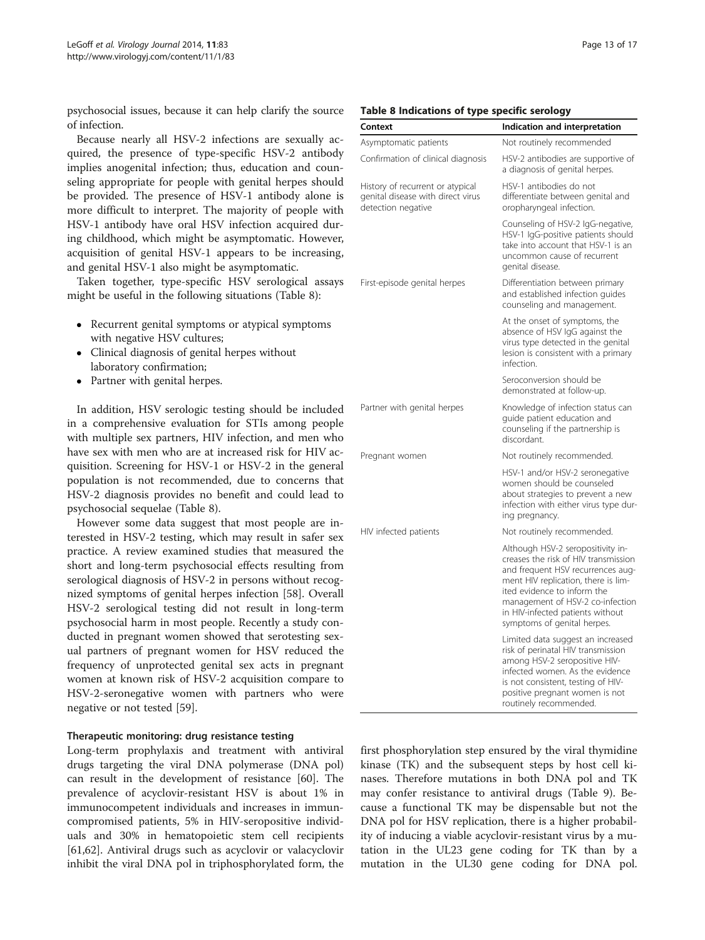psychosocial issues, because it can help clarify the source of infection.

Because nearly all HSV-2 infections are sexually acquired, the presence of type-specific HSV-2 antibody implies anogenital infection; thus, education and counseling appropriate for people with genital herpes should be provided. The presence of HSV-1 antibody alone is more difficult to interpret. The majority of people with HSV-1 antibody have oral HSV infection acquired during childhood, which might be asymptomatic. However, acquisition of genital HSV-1 appears to be increasing, and genital HSV-1 also might be asymptomatic.

Taken together, type-specific HSV serological assays might be useful in the following situations (Table 8):

- Recurrent genital symptoms or atypical symptoms with negative HSV cultures;
- Clinical diagnosis of genital herpes without laboratory confirmation;
- Partner with genital herpes.

In addition, HSV serologic testing should be included in a comprehensive evaluation for STIs among people with multiple sex partners, HIV infection, and men who have sex with men who are at increased risk for HIV acquisition. Screening for HSV-1 or HSV-2 in the general population is not recommended, due to concerns that HSV-2 diagnosis provides no benefit and could lead to psychosocial sequelae (Table 8).

However some data suggest that most people are interested in HSV-2 testing, which may result in safer sex practice. A review examined studies that measured the short and long-term psychosocial effects resulting from serological diagnosis of HSV-2 in persons without recognized symptoms of genital herpes infection [\[58\]](#page-16-0). Overall HSV-2 serological testing did not result in long-term psychosocial harm in most people. Recently a study conducted in pregnant women showed that serotesting sexual partners of pregnant women for HSV reduced the frequency of unprotected genital sex acts in pregnant women at known risk of HSV-2 acquisition compare to HSV-2-seronegative women with partners who were negative or not tested [[59\]](#page-16-0).

## Therapeutic monitoring: drug resistance testing

Long-term prophylaxis and treatment with antiviral drugs targeting the viral DNA polymerase (DNA pol) can result in the development of resistance [\[60\]](#page-16-0). The prevalence of acyclovir-resistant HSV is about 1% in immunocompetent individuals and increases in immuncompromised patients, 5% in HIV-seropositive individuals and 30% in hematopoietic stem cell recipients [[61,62\]](#page-16-0). Antiviral drugs such as acyclovir or valacyclovir inhibit the viral DNA pol in triphosphorylated form, the

#### Table 8 Indications of type specific serology

| Context                                                                                     | Indication and interpretation                                                                                                                                                                                                                                                               |
|---------------------------------------------------------------------------------------------|---------------------------------------------------------------------------------------------------------------------------------------------------------------------------------------------------------------------------------------------------------------------------------------------|
| Asymptomatic patients                                                                       | Not routinely recommended                                                                                                                                                                                                                                                                   |
| Confirmation of clinical diagnosis                                                          | HSV-2 antibodies are supportive of<br>a diagnosis of genital herpes.                                                                                                                                                                                                                        |
| History of recurrent or atypical<br>genital disease with direct virus<br>detection negative | HSV-1 antibodies do not<br>differentiate between genital and<br>oropharyngeal infection.                                                                                                                                                                                                    |
|                                                                                             | Counseling of HSV-2 IgG-negative,<br>HSV-1 IgG-positive patients should<br>take into account that HSV-1 is an<br>uncommon cause of recurrent<br>genital disease.                                                                                                                            |
| First-episode genital herpes                                                                | Differentiation between primary<br>and established infection quides<br>counseling and management.                                                                                                                                                                                           |
|                                                                                             | At the onset of symptoms, the<br>absence of HSV IgG against the<br>virus type detected in the genital<br>lesion is consistent with a primary<br>infection.                                                                                                                                  |
|                                                                                             | Seroconversion should be<br>demonstrated at follow-up.                                                                                                                                                                                                                                      |
| Partner with genital herpes                                                                 | Knowledge of infection status can<br>guide patient education and<br>counseling if the partnership is<br>discordant.                                                                                                                                                                         |
| Pregnant women                                                                              | Not routinely recommended.                                                                                                                                                                                                                                                                  |
|                                                                                             | HSV-1 and/or HSV-2 seronegative<br>women should be counseled<br>about strategies to prevent a new<br>infection with either virus type dur-<br>ing pregnancy.                                                                                                                                |
| HIV infected patients                                                                       | Not routinely recommended.                                                                                                                                                                                                                                                                  |
|                                                                                             | Although HSV-2 seropositivity in-<br>creases the risk of HIV transmission<br>and frequent HSV recurrences aug-<br>ment HIV replication, there is lim-<br>ited evidence to inform the<br>management of HSV-2 co-infection<br>in HIV-infected patients without<br>symptoms of genital herpes. |
|                                                                                             | Limited data suggest an increased<br>risk of perinatal HIV transmission<br>among HSV-2 seropositive HIV-<br>infected women. As the evidence<br>is not consistent, testing of HIV-<br>positive pregnant women is not<br>routinely recommended.                                               |

first phosphorylation step ensured by the viral thymidine kinase (TK) and the subsequent steps by host cell kinases. Therefore mutations in both DNA pol and TK may confer resistance to antiviral drugs (Table [9\)](#page-13-0). Because a functional TK may be dispensable but not the DNA pol for HSV replication, there is a higher probability of inducing a viable acyclovir-resistant virus by a mutation in the UL23 gene coding for TK than by a mutation in the UL30 gene coding for DNA pol.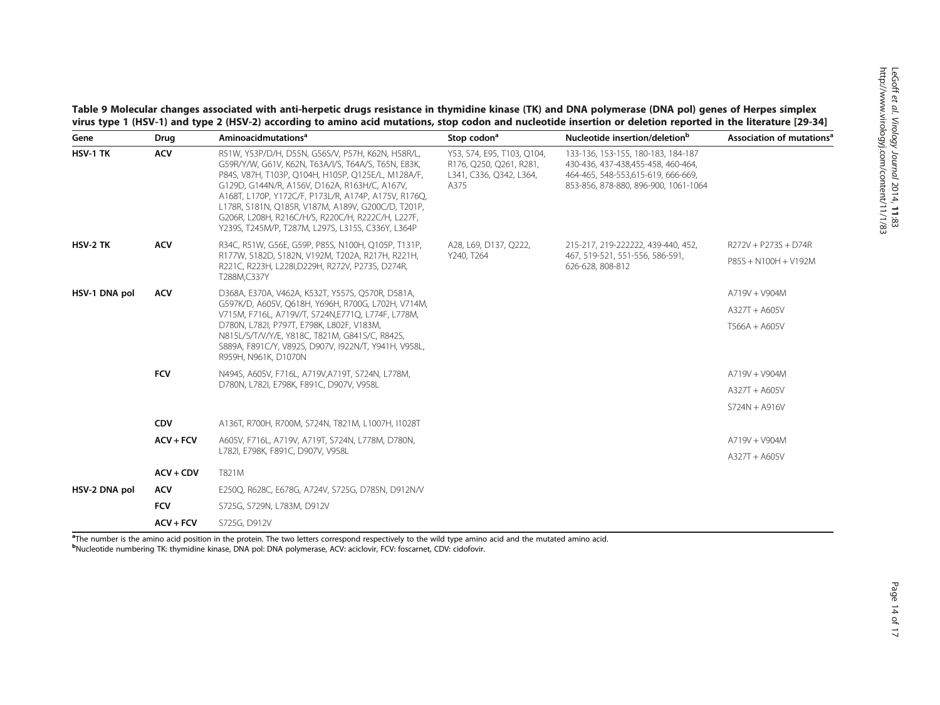<span id="page-13-0"></span>Table 9 Molecular changes associated with anti-herpetic drugs resistance in thymidine kinase (TK) and DNA polymerase (DNA pol) genes of Herpes simplex virus type 1 (HSV-1) and type 2 (HSV-2) according to amino acid mutations, stop codon and nucleotide insertion or deletion reported in the literature [\[29](#page-15-0)-[34\]](#page-15-0)<br>Cano and Drug Aminoacidmutations<sup>a</sup> Stop codon<sup>a</sup> Nucleotide ins

| Gene          | Drug        | Aminoacidmutations <sup>a</sup>                                                                                                                                                                                                                                                                                                                                                                                                         | Stop codon <sup>a</sup>                                                                  | Nucleotide insertion/deletion <sup>b</sup>                                                                                                              | Association of mutations <sup>®</sup> |
|---------------|-------------|-----------------------------------------------------------------------------------------------------------------------------------------------------------------------------------------------------------------------------------------------------------------------------------------------------------------------------------------------------------------------------------------------------------------------------------------|------------------------------------------------------------------------------------------|---------------------------------------------------------------------------------------------------------------------------------------------------------|---------------------------------------|
| HSV-1 TK      | <b>ACV</b>  | R51W, Y53P/D/H, D55N, G56S/V, P57H, K62N, H58R/L,<br>G59R/Y/W, G61V, K62N, T63A/I/S, T64A/S, T65N, E83K,<br>P84S, V87H, T103P, Q104H, H105P, Q125E/L, M128A/F,<br>G129D, G144N/R, A156V, D162A, R163H/C, A167V,<br>A168T, L170P, Y172C/F, P173L/R, A174P, A175V, R176Q,<br>L178R, S181N, Q185R, V187M, A189V, G200C/D, T201P,<br>G206R, L208H, R216C/H/S, R220C/H, R222C/H, L227F,<br>Y239S, T245M/P, T287M, L297S, L315S, C336Y, L364P | Y53, S74, E95, T103, Q104,<br>R176, Q250, Q261, R281,<br>L341, C336, Q342, L364,<br>A375 | 133-136, 153-155, 180-183, 184-187<br>430-436, 437-438, 455-458, 460-464,<br>464-465, 548-553.615-619, 666-669,<br>853-856, 878-880, 896-900, 1061-1064 |                                       |
| HSV-2 TK      | <b>ACV</b>  | R34C, R51W, G56E, G59P, P85S, N100H, Q105P, T131P,                                                                                                                                                                                                                                                                                                                                                                                      | A28, L69, D137, Q222,                                                                    | 215-217, 219-222222, 439-440, 452,                                                                                                                      | R272V + P273S + D74R                  |
|               |             | R177W, S182D, S182N, V192M, T202A, R217H, R221H,<br>R221C, R223H, L228I, D229H, R272V, P273S, D274R,<br>T288M,C337Y                                                                                                                                                                                                                                                                                                                     | Y240, T264                                                                               | 467, 519-521, 551-556, 586-591,<br>626-628, 808-812                                                                                                     | P85S + N100H + V192M                  |
| HSV-1 DNA pol | <b>ACV</b>  | D368A, E370A, V462A, K532T, Y557S, Q570R, D581A,                                                                                                                                                                                                                                                                                                                                                                                        |                                                                                          |                                                                                                                                                         | A719V + V904M                         |
|               |             | G597K/D, A605V, Q618H, Y696H, R700G, L702H, V714M,<br>V715M, F716L, A719V/T, S724N,E771Q, L774F, L778M,                                                                                                                                                                                                                                                                                                                                 |                                                                                          |                                                                                                                                                         | $A327T + A605V$                       |
|               |             | D780N, L782I, P797T, E798K, L802F, V183M,<br>N815L/S/T/V/Y/E, Y818C, T821M, G841S/C, R842S,<br>S889A, F891C/Y, V892S, D907V, I922N/T, Y941H, V958L,<br>R959H, N961K, D1070N                                                                                                                                                                                                                                                             |                                                                                          |                                                                                                                                                         | T566A + A605V                         |
|               | <b>FCV</b>  | N494S, A605V, F716L, A719V,A719T, S724N, L778M,                                                                                                                                                                                                                                                                                                                                                                                         |                                                                                          |                                                                                                                                                         | A719V + V904M                         |
|               |             | D780N, L782I, E798K, F891C, D907V, V958L                                                                                                                                                                                                                                                                                                                                                                                                |                                                                                          |                                                                                                                                                         | $A327T + A605V$                       |
|               |             |                                                                                                                                                                                                                                                                                                                                                                                                                                         |                                                                                          |                                                                                                                                                         | $S724N + A916V$                       |
|               | <b>CDV</b>  | A136T, R700H, R700M, S724N, T821M, L1007H, I1028T                                                                                                                                                                                                                                                                                                                                                                                       |                                                                                          |                                                                                                                                                         |                                       |
|               | $ACV + FCV$ | A605V, F716L, A719V, A719T, S724N, L778M, D780N,                                                                                                                                                                                                                                                                                                                                                                                        |                                                                                          |                                                                                                                                                         | A719V + V904M                         |
|               |             | L782I, E798K, F891C, D907V, V958L                                                                                                                                                                                                                                                                                                                                                                                                       |                                                                                          |                                                                                                                                                         | $A327T + A605V$                       |
|               | $ACV + CDV$ | T821M                                                                                                                                                                                                                                                                                                                                                                                                                                   |                                                                                          |                                                                                                                                                         |                                       |
| HSV-2 DNA pol | <b>ACV</b>  | E250Q, R628C, E678G, A724V, S725G, D785N, D912N/V                                                                                                                                                                                                                                                                                                                                                                                       |                                                                                          |                                                                                                                                                         |                                       |
|               | <b>FCV</b>  | S725G, S729N, L783M, D912V                                                                                                                                                                                                                                                                                                                                                                                                              |                                                                                          |                                                                                                                                                         |                                       |
|               | $ACV + FCV$ | S725G, D912V                                                                                                                                                                                                                                                                                                                                                                                                                            |                                                                                          |                                                                                                                                                         |                                       |

<sup>a</sup>The number is the amino acid position in the protein. The two letters correspond respectively to the wild type amino acid and the mutated amino acid. b Nucleotide numbering TK: thymidine kinase, DNA pol: DNA polymerase, ACV: aciclovir, FCV: foscarnet, CDV: cidofovir.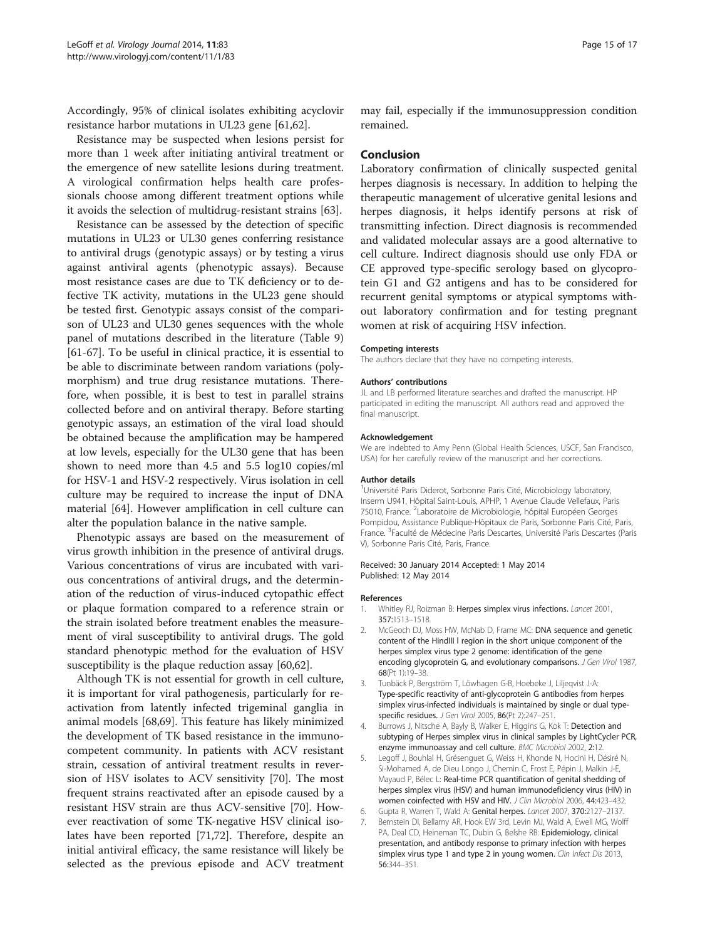<span id="page-14-0"></span>Accordingly, 95% of clinical isolates exhibiting acyclovir resistance harbor mutations in UL23 gene [\[61,62](#page-16-0)].

Resistance may be suspected when lesions persist for more than 1 week after initiating antiviral treatment or the emergence of new satellite lesions during treatment. A virological confirmation helps health care professionals choose among different treatment options while it avoids the selection of multidrug-resistant strains [[63\]](#page-16-0).

Resistance can be assessed by the detection of specific mutations in UL23 or UL30 genes conferring resistance to antiviral drugs (genotypic assays) or by testing a virus against antiviral agents (phenotypic assays). Because most resistance cases are due to TK deficiency or to defective TK activity, mutations in the UL23 gene should be tested first. Genotypic assays consist of the comparison of UL23 and UL30 genes sequences with the whole panel of mutations described in the literature (Table [9](#page-13-0)) [[61-67](#page-16-0)]. To be useful in clinical practice, it is essential to be able to discriminate between random variations (polymorphism) and true drug resistance mutations. Therefore, when possible, it is best to test in parallel strains collected before and on antiviral therapy. Before starting genotypic assays, an estimation of the viral load should be obtained because the amplification may be hampered at low levels, especially for the UL30 gene that has been shown to need more than 4.5 and 5.5 log10 copies/ml for HSV-1 and HSV-2 respectively. Virus isolation in cell culture may be required to increase the input of DNA material [\[64\]](#page-16-0). However amplification in cell culture can alter the population balance in the native sample.

Phenotypic assays are based on the measurement of virus growth inhibition in the presence of antiviral drugs. Various concentrations of virus are incubated with various concentrations of antiviral drugs, and the determination of the reduction of virus-induced cytopathic effect or plaque formation compared to a reference strain or the strain isolated before treatment enables the measurement of viral susceptibility to antiviral drugs. The gold standard phenotypic method for the evaluation of HSV susceptibility is the plaque reduction assay [[60,62\]](#page-16-0).

Although TK is not essential for growth in cell culture, it is important for viral pathogenesis, particularly for reactivation from latently infected trigeminal ganglia in animal models [[68,69\]](#page-16-0). This feature has likely minimized the development of TK based resistance in the immunocompetent community. In patients with ACV resistant strain, cessation of antiviral treatment results in reversion of HSV isolates to ACV sensitivity [[70\]](#page-16-0). The most frequent strains reactivated after an episode caused by a resistant HSV strain are thus ACV-sensitive [\[70](#page-16-0)]. However reactivation of some TK-negative HSV clinical isolates have been reported [[71,72\]](#page-16-0). Therefore, despite an initial antiviral efficacy, the same resistance will likely be selected as the previous episode and ACV treatment may fail, especially if the immunosuppression condition remained.

#### Conclusion

Laboratory confirmation of clinically suspected genital herpes diagnosis is necessary. In addition to helping the therapeutic management of ulcerative genital lesions and herpes diagnosis, it helps identify persons at risk of transmitting infection. Direct diagnosis is recommended and validated molecular assays are a good alternative to cell culture. Indirect diagnosis should use only FDA or CE approved type-specific serology based on glycoprotein G1 and G2 antigens and has to be considered for recurrent genital symptoms or atypical symptoms without laboratory confirmation and for testing pregnant women at risk of acquiring HSV infection.

#### Competing interests

The authors declare that they have no competing interests.

#### Authors' contributions

JL and LB performed literature searches and drafted the manuscript. HP participated in editing the manuscript. All authors read and approved the final manuscript.

#### Acknowledgement

We are indebted to Amy Penn (Global Health Sciences, USCF, San Francisco, USA) for her carefully review of the manuscript and her corrections.

#### Author details

<sup>1</sup>Université Paris Diderot, Sorbonne Paris Cité, Microbiology laboratory, Inserm U941, Hôpital Saint-Louis, APHP, 1 Avenue Claude Vellefaux, Paris 75010, France. <sup>2</sup> Laboratoire de Microbiologie, hôpital Européen Georges Pompidou, Assistance Publique-Hôpitaux de Paris, Sorbonne Paris Cité, Paris, France.<sup>3</sup> Faculté de Médecine Paris Descartes, Université Paris Descartes (Paris V), Sorbonne Paris Cité, Paris, France.

#### Received: 30 January 2014 Accepted: 1 May 2014 Published: 12 May 2014

#### References

- 1. Whitley RJ, Roizman B: Herpes simplex virus infections. Lancet 2001, 357:1513–1518.
- 2. McGeoch DJ, Moss HW, McNab D, Frame MC: DNA sequence and genetic content of the HindIII l region in the short unique component of the herpes simplex virus type 2 genome: identification of the gene encoding glycoprotein G, and evolutionary comparisons. J Gen Virol 1987, 68(Pt 1):19–38.
- 3. Tunbäck P, Bergström T, Löwhagen G-B, Hoebeke J, Liljeqvist J-A: Type-specific reactivity of anti-glycoprotein G antibodies from herpes simplex virus-infected individuals is maintained by single or dual typespecific residues. J Gen Virol 2005, 86(Pt 2):247–251.
- 4. Burrows J, Nitsche A, Bayly B, Walker E, Higgins G, Kok T: Detection and subtyping of Herpes simplex virus in clinical samples by LightCycler PCR, enzyme immunoassay and cell culture. BMC Microbiol 2002, 2:12.
- 5. Legoff J, Bouhlal H, Grésenguet G, Weiss H, Khonde N, Hocini H, Désiré N, Si-Mohamed A, de Dieu Longo J, Chemin C, Frost E, Pépin J, Malkin J-E, Mayaud P, Bélec L: Real-time PCR quantification of genital shedding of herpes simplex virus (HSV) and human immunodeficiency virus (HIV) in women coinfected with HSV and HIV. J Clin Microbiol 2006, 44:423-432.
- 6. Gupta R, Warren T, Wald A: Genital herpes. Lancet 2007, 370:2127–2137. 7. Bernstein DI, Bellamy AR, Hook EW 3rd, Levin MJ, Wald A, Ewell MG, Wolff PA, Deal CD, Heineman TC, Dubin G, Belshe RB: Epidemiology, clinical presentation, and antibody response to primary infection with herpes simplex virus type 1 and type 2 in young women. Clin Infect Dis 2013, 56:344–351.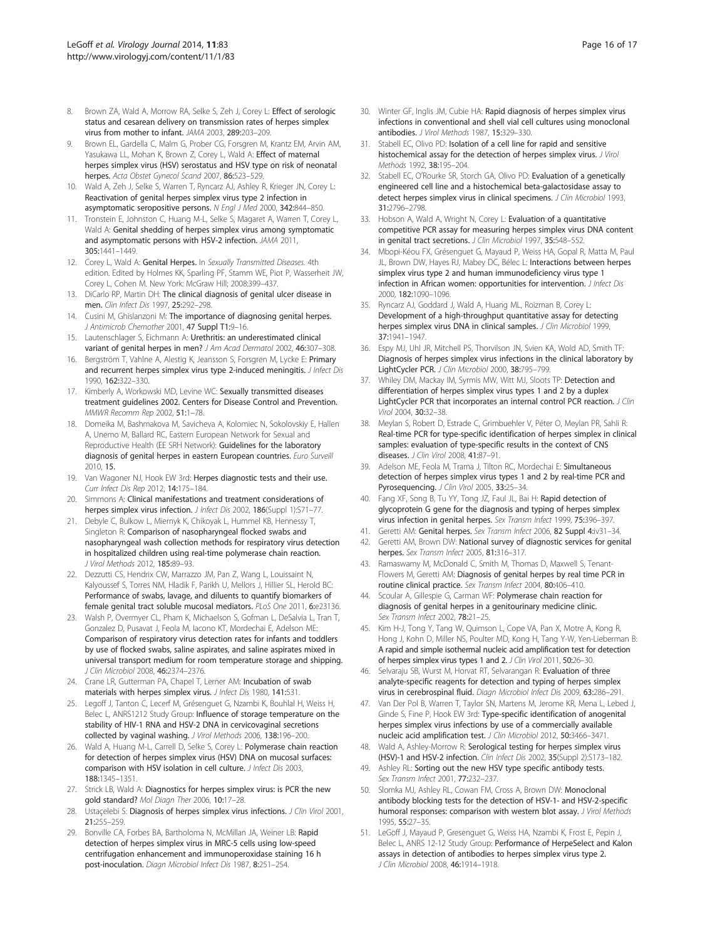- <span id="page-15-0"></span>8. Brown ZA, Wald A, Morrow RA, Selke S, Zeh J, Corey L: Effect of serologic status and cesarean delivery on transmission rates of herpes simplex virus from mother to infant. JAMA 2003, 289:203–209.
- 9. Brown EL, Gardella C, Malm G, Prober CG, Forsgren M, Krantz EM, Arvin AM, Yasukawa LL, Mohan K, Brown Z, Corey L, Wald A: Effect of maternal herpes simplex virus (HSV) serostatus and HSV type on risk of neonatal herpes. Acta Obstet Gynecol Scand 2007, 86:523–529.
- 10. Wald A, Zeh J, Selke S, Warren T, Ryncarz AJ, Ashley R, Krieger JN, Corey L: Reactivation of genital herpes simplex virus type 2 infection in asymptomatic seropositive persons. N Engl J Med 2000, 342:844–850.
- 11. Tronstein E, Johnston C, Huang M-L, Selke S, Magaret A, Warren T, Corey L, Wald A: Genital shedding of herpes simplex virus among symptomatic and asymptomatic persons with HSV-2 infection. JAMA 2011, 305:1441–1449.
- 12. Corey L, Wald A: Genital Herpes. In Sexually Transmitted Diseases. 4th edition. Edited by Holmes KK, Sparling PF, Stamm WE, Piot P, Wasserheit JW, Corey L, Cohen M. New York: McGraw Hill; 2008:399–437.
- 13. DiCarlo RP, Martin DH: The clinical diagnosis of genital ulcer disease in men. Clin Infect Dis 1997, 25:292–298.
- 14. Cusini M, Ghislanzoni M: The importance of diagnosing genital herpes. J Antimicrob Chemother 2001, 47 Suppl T1:9–16.
- 15. Lautenschlager S, Eichmann A: Urethritis: an underestimated clinical variant of genital herpes in men? J Am Acad Dermatol 2002, 46:307-308.
- 16. Bergström T, Vahlne A, Alestig K, Jeansson S, Forsgren M, Lycke E: Primary and recurrent herpes simplex virus type 2-induced meningitis. J Infect Dis 1990, 162:322–330.
- 17. Kimberly A, Workowski MD, Levine WC: Sexually transmitted diseases treatment guidelines 2002. Centers for Disease Control and Prevention. MMWR Recomm Rep 2002, 51:1–78.
- 18. Domeika M, Bashmakova M, Savicheva A, Kolomiec N, Sokolovskiy E, Hallen A, Unemo M, Ballard RC, Eastern European Network for Sexual and Reproductive Health (EE SRH Network): Guidelines for the laboratory diagnosis of genital herpes in eastern European countries. Euro Surveill 2010, 15.
- 19. Van Wagoner NJ, Hook EW 3rd: Herpes diagnostic tests and their use. Curr Infect Dis Rep 2012, 14:175–184.
- 20. Simmons A: Clinical manifestations and treatment considerations of herpes simplex virus infection. J Infect Dis 2002, 186(Suppl 1):S71-77.
- 21. Debyle C, Bulkow L, Miernyk K, Chikoyak L, Hummel KB, Hennessy T, Singleton R: Comparison of nasopharyngeal flocked swabs and nasopharyngeal wash collection methods for respiratory virus detection in hospitalized children using real-time polymerase chain reaction. J Virol Methods 2012, 185:89–93.
- 22. Dezzutti CS, Hendrix CW, Marrazzo JM, Pan Z, Wang L, Louissaint N, Kalyoussef S, Torres NM, Hladik F, Parikh U, Mellors J, Hillier SL, Herold BC: Performance of swabs, lavage, and diluents to quantify biomarkers of female genital tract soluble mucosal mediators. PLoS One 2011, 6:e23136.
- 23. Walsh P, Overmyer CL, Pham K, Michaelson S, Gofman L, DeSalvia L, Tran T, Gonzalez D, Pusavat J, Feola M, Iacono KT, Mordechai E, Adelson ME: Comparison of respiratory virus detection rates for infants and toddlers by use of flocked swabs, saline aspirates, and saline aspirates mixed in universal transport medium for room temperature storage and shipping. J Clin Microbiol 2008, 46:2374–2376.
- 24. Crane LR, Gutterman PA, Chapel T, Lerner AM: Incubation of swab materials with herpes simplex virus. J Infect Dis 1980, 141:531.
- 25. Legoff J, Tanton C, Lecerf M, Grésenguet G, Nzambi K, Bouhlal H, Weiss H, Belec L, ANRS1212 Study Group: Influence of storage temperature on the stability of HIV-1 RNA and HSV-2 DNA in cervicovaginal secretions collected by vaginal washing. J Virol Methods 2006, 138:196–200.
- 26. Wald A, Huang M-L, Carrell D, Selke S, Corey L: Polymerase chain reaction for detection of herpes simplex virus (HSV) DNA on mucosal surfaces: comparison with HSV isolation in cell culture. J Infect Dis 2003, 188:1345–1351.
- 27. Strick LB, Wald A: Diagnostics for herpes simplex virus: is PCR the new gold standard? Mol Diagn Ther 2006, 10:17–28.
- 28. Ustaçelebi S: Diagnosis of herpes simplex virus infections. J Clin Virol 2001, 21:255–259.
- 29. Bonville CA, Forbes BA, Bartholoma N, McMillan JA, Weiner LB: Rapid detection of herpes simplex virus in MRC-5 cells using low-speed centrifugation enhancement and immunoperoxidase staining 16 h post-inoculation. Diagn Microbiol Infect Dis 1987, 8:251–254.
- 30. Winter GF, Inglis JM, Cubie HA: Rapid diagnosis of herpes simplex virus infections in conventional and shell vial cell cultures using monoclonal antibodies. J Virol Methods 1987, 15:329–330.
- 31. Stabell EC, Olivo PD: Isolation of a cell line for rapid and sensitive histochemical assay for the detection of herpes simplex virus. J Virol Methods 1992, 38:195–204.
- 32. Stabell EC, O'Rourke SR, Storch GA, Olivo PD: Evaluation of a genetically engineered cell line and a histochemical beta-galactosidase assay to detect herpes simplex virus in clinical specimens. J Clin Microbiol 1993, 31:2796–2798.
- 33. Hobson A, Wald A, Wright N, Corey L: Evaluation of a quantitative competitive PCR assay for measuring herpes simplex virus DNA content in genital tract secretions. J Clin Microbiol 1997, 35:548-552.
- 34. Mbopi-Kéou FX, Grésenguet G, Mayaud P, Weiss HA, Gopal R, Matta M, Paul JL, Brown DW, Hayes RJ, Mabey DC, Bélec L: Interactions between herpes simplex virus type 2 and human immunodeficiency virus type 1 infection in African women: opportunities for intervention. J Infect Dis 2000, 182:1090–1096.
- 35. Ryncarz AJ, Goddard J, Wald A, Huang ML, Roizman B, Corey L: Development of a high-throughput quantitative assay for detecting herpes simplex virus DNA in clinical samples. J Clin Microbiol 1999, 37:1941–1947.
- 36. Espy MJ, Uhl JR, Mitchell PS, Thorvilson JN, Svien KA, Wold AD, Smith TF: Diagnosis of herpes simplex virus infections in the clinical laboratory by LightCycler PCR. J Clin Microbiol 2000, 38:795–799.
- 37. Whiley DM, Mackay IM, Syrmis MW, Witt MJ, Sloots TP: Detection and differentiation of herpes simplex virus types 1 and 2 by a duplex LightCycler PCR that incorporates an internal control PCR reaction. J Clin Virol 2004, 30:32–38.
- 38. Meylan S, Robert D, Estrade C, Grimbuehler V, Péter O, Meylan PR, Sahli R: Real-time PCR for type-specific identification of herpes simplex in clinical samples: evaluation of type-specific results in the context of CNS diseases. J Clin Virol 2008, 41:87–91.
- 39. Adelson ME, Feola M, Trama J, Tilton RC, Mordechai E: Simultaneous detection of herpes simplex virus types 1 and 2 by real-time PCR and Pyrosequencing. J Clin Virol 2005, 33:25-34.
- 40. Fang XF, Song B, Tu YY, Tong JZ, Faul JL, Bai H: Rapid detection of glycoprotein G gene for the diagnosis and typing of herpes simplex virus infection in genital herpes. Sex Transm Infect 1999, 75:396-397
- 41. Geretti AM: Genital herpes. Sex Transm Infect 2006, 82 Suppl 4:iv31-34.
- 42. Geretti AM, Brown DW: National survey of diagnostic services for genital herpes. Sex Transm Infect 2005, 81:316-317.
- 43. Ramaswamy M, McDonald C, Smith M, Thomas D, Maxwell S, Tenant-Flowers M, Geretti AM: Diagnosis of genital herpes by real time PCR in routine clinical practice. Sex Transm Infect 2004, 80:406–410.
- 44. Scoular A, Gillespie G, Carman WF: Polymerase chain reaction for diagnosis of genital herpes in a genitourinary medicine clinic. Sex Transm Infect 2002, 78:21–25.
- 45. Kim H-J, Tong Y, Tang W, Quimson L, Cope VA, Pan X, Motre A, Kong R, Hong J, Kohn D, Miller NS, Poulter MD, Kong H, Tang Y-W, Yen-Lieberman B: A rapid and simple isothermal nucleic acid amplification test for detection of herpes simplex virus types 1 and 2. J Clin Virol 2011, 50:26–30.
- 46. Selvaraju SB, Wurst M, Horvat RT, Selvarangan R: Evaluation of three analyte-specific reagents for detection and typing of herpes simplex virus in cerebrospinal fluid. Diagn Microbiol Infect Dis 2009, 63:286–291.
- 47. Van Der Pol B, Warren T, Taylor SN, Martens M, Jerome KR, Mena L, Lebed J, Ginde S, Fine P, Hook EW 3rd: Type-specific identification of anogenital herpes simplex virus infections by use of a commercially available nucleic acid amplification test. J Clin Microbiol 2012, 50:3466-3471.
- 48. Wald A, Ashley-Morrow R: Serological testing for herpes simplex virus (HSV)-1 and HSV-2 infection. Clin Infect Dis 2002, 35(Suppl 2):S173–182.
- 49. Ashley RL: Sorting out the new HSV type specific antibody tests. Sex Transm Infect 2001, 77:232–237.
- 50. Slomka MJ, Ashley RL, Cowan FM, Cross A, Brown DW: Monoclonal antibody blocking tests for the detection of HSV-1- and HSV-2-specific humoral responses: comparison with western blot assay. J Virol Methods 1995, 55:27–35.
- 51. LeGoff J, Mayaud P, Gresenguet G, Weiss HA, Nzambi K, Frost E, Pepin J, Belec L, ANRS 12-12 Study Group: Performance of HerpeSelect and Kalon assays in detection of antibodies to herpes simplex virus type 2. J Clin Microbiol 2008, 46:1914–1918.